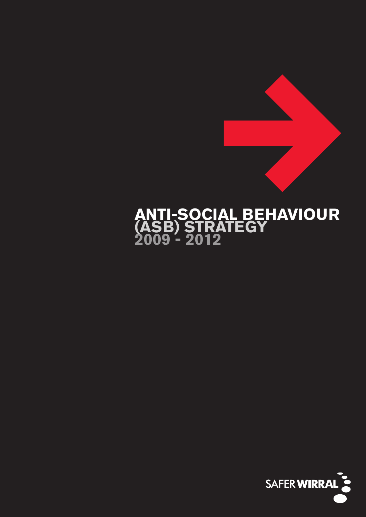# **ANTI-SOCIAL BEHAVIOUR (ASB) STRATEGY 2009 - 2012**

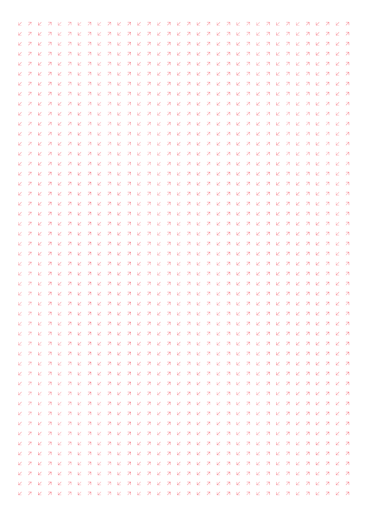|    | ヒス |  |  |  |  |  |  |  |  |  |  |  |  |  |  |  |                                        |  |
|----|----|--|--|--|--|--|--|--|--|--|--|--|--|--|--|--|----------------------------------------|--|
|    |    |  |  |  |  |  |  |  |  |  |  |  |  |  |  |  |                                        |  |
| ヒス |    |  |  |  |  |  |  |  |  |  |  |  |  |  |  |  |                                        |  |
|    |    |  |  |  |  |  |  |  |  |  |  |  |  |  |  |  |                                        |  |
| 27 |    |  |  |  |  |  |  |  |  |  |  |  |  |  |  |  |                                        |  |
|    |    |  |  |  |  |  |  |  |  |  |  |  |  |  |  |  |                                        |  |
|    |    |  |  |  |  |  |  |  |  |  |  |  |  |  |  |  |                                        |  |
| ヒス |    |  |  |  |  |  |  |  |  |  |  |  |  |  |  |  |                                        |  |
|    |    |  |  |  |  |  |  |  |  |  |  |  |  |  |  |  |                                        |  |
|    | ヒス |  |  |  |  |  |  |  |  |  |  |  |  |  |  |  |                                        |  |
|    |    |  |  |  |  |  |  |  |  |  |  |  |  |  |  |  |                                        |  |
|    |    |  |  |  |  |  |  |  |  |  |  |  |  |  |  |  |                                        |  |
|    |    |  |  |  |  |  |  |  |  |  |  |  |  |  |  |  |                                        |  |
| ヒス |    |  |  |  |  |  |  |  |  |  |  |  |  |  |  |  |                                        |  |
|    | ヒス |  |  |  |  |  |  |  |  |  |  |  |  |  |  |  |                                        |  |
|    | ヒス |  |  |  |  |  |  |  |  |  |  |  |  |  |  |  |                                        |  |
|    | ヒス |  |  |  |  |  |  |  |  |  |  |  |  |  |  |  |                                        |  |
| 27 |    |  |  |  |  |  |  |  |  |  |  |  |  |  |  |  | <u>илилилилини тилилилини тилилили</u> |  |
|    |    |  |  |  |  |  |  |  |  |  |  |  |  |  |  |  |                                        |  |
| ヒス |    |  |  |  |  |  |  |  |  |  |  |  |  |  |  |  |                                        |  |
|    | ヒス |  |  |  |  |  |  |  |  |  |  |  |  |  |  |  | <u>илилилилини тилилилини тилилили</u> |  |
|    |    |  |  |  |  |  |  |  |  |  |  |  |  |  |  |  |                                        |  |
| ヒス |    |  |  |  |  |  |  |  |  |  |  |  |  |  |  |  |                                        |  |
|    |    |  |  |  |  |  |  |  |  |  |  |  |  |  |  |  |                                        |  |
|    |    |  |  |  |  |  |  |  |  |  |  |  |  |  |  |  |                                        |  |
|    | ヒス |  |  |  |  |  |  |  |  |  |  |  |  |  |  |  |                                        |  |
|    |    |  |  |  |  |  |  |  |  |  |  |  |  |  |  |  |                                        |  |
|    |    |  |  |  |  |  |  |  |  |  |  |  |  |  |  |  |                                        |  |
|    | ヒス |  |  |  |  |  |  |  |  |  |  |  |  |  |  |  |                                        |  |
|    |    |  |  |  |  |  |  |  |  |  |  |  |  |  |  |  |                                        |  |
|    |    |  |  |  |  |  |  |  |  |  |  |  |  |  |  |  |                                        |  |
|    |    |  |  |  |  |  |  |  |  |  |  |  |  |  |  |  |                                        |  |
|    |    |  |  |  |  |  |  |  |  |  |  |  |  |  |  |  |                                        |  |
|    |    |  |  |  |  |  |  |  |  |  |  |  |  |  |  |  |                                        |  |
|    |    |  |  |  |  |  |  |  |  |  |  |  |  |  |  |  |                                        |  |
|    |    |  |  |  |  |  |  |  |  |  |  |  |  |  |  |  |                                        |  |
|    |    |  |  |  |  |  |  |  |  |  |  |  |  |  |  |  |                                        |  |
|    |    |  |  |  |  |  |  |  |  |  |  |  |  |  |  |  |                                        |  |
|    |    |  |  |  |  |  |  |  |  |  |  |  |  |  |  |  |                                        |  |
|    |    |  |  |  |  |  |  |  |  |  |  |  |  |  |  |  |                                        |  |
|    |    |  |  |  |  |  |  |  |  |  |  |  |  |  |  |  |                                        |  |
|    |    |  |  |  |  |  |  |  |  |  |  |  |  |  |  |  |                                        |  |
|    |    |  |  |  |  |  |  |  |  |  |  |  |  |  |  |  |                                        |  |
|    |    |  |  |  |  |  |  |  |  |  |  |  |  |  |  |  |                                        |  |
|    |    |  |  |  |  |  |  |  |  |  |  |  |  |  |  |  |                                        |  |
|    |    |  |  |  |  |  |  |  |  |  |  |  |  |  |  |  |                                        |  |
|    |    |  |  |  |  |  |  |  |  |  |  |  |  |  |  |  |                                        |  |
|    |    |  |  |  |  |  |  |  |  |  |  |  |  |  |  |  |                                        |  |
|    |    |  |  |  |  |  |  |  |  |  |  |  |  |  |  |  |                                        |  |
|    |    |  |  |  |  |  |  |  |  |  |  |  |  |  |  |  |                                        |  |
|    |    |  |  |  |  |  |  |  |  |  |  |  |  |  |  |  |                                        |  |
|    |    |  |  |  |  |  |  |  |  |  |  |  |  |  |  |  |                                        |  |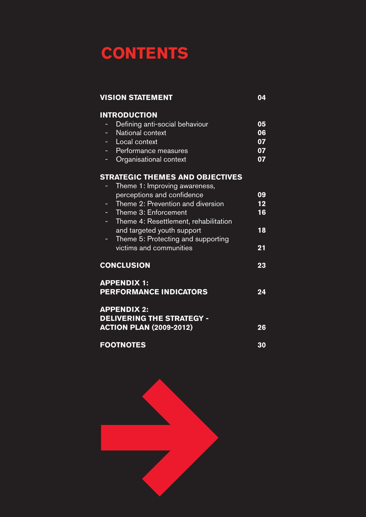## **CONTENTS**

## **VISION STATEMENT 04**

## **INTRODUCTION**

| $\sim 100$ | Defining anti-social behaviour | 05 |
|------------|--------------------------------|----|
|            | - National context             | 06 |
|            | - Local context                | 07 |
|            | - Performance measures         | 07 |
|            | - Organisational context       |    |

## **STRATEGIC THEMES AND OBJECTIVES**

| Theme 1: Improving awareness,<br>perceptions and confidence<br>Theme 2: Prevention and diversion<br>Theme 3: Enforcement<br>Theme 4: Resettlement, rehabilitation<br>and targeted youth support<br>Theme 5: Protecting and supporting<br>victims and communities | 09<br>12<br>16<br>18<br>21 |  |  |  |  |  |  |  |  |  |  |
|------------------------------------------------------------------------------------------------------------------------------------------------------------------------------------------------------------------------------------------------------------------|----------------------------|--|--|--|--|--|--|--|--|--|--|
| <b>CONCLUSION</b><br>23                                                                                                                                                                                                                                          |                            |  |  |  |  |  |  |  |  |  |  |
| <b>APPENDIX 1:</b><br><b>PERFORMANCE INDICATORS</b>                                                                                                                                                                                                              |                            |  |  |  |  |  |  |  |  |  |  |
| <b>APPENDIX 2:</b><br><b>DELIVERING THE STRATEGY -</b>                                                                                                                                                                                                           |                            |  |  |  |  |  |  |  |  |  |  |
| <b>ACTION PLAN (2009-2012)</b>                                                                                                                                                                                                                                   |                            |  |  |  |  |  |  |  |  |  |  |
| <b>FOOTNOTES</b>                                                                                                                                                                                                                                                 | 30                         |  |  |  |  |  |  |  |  |  |  |

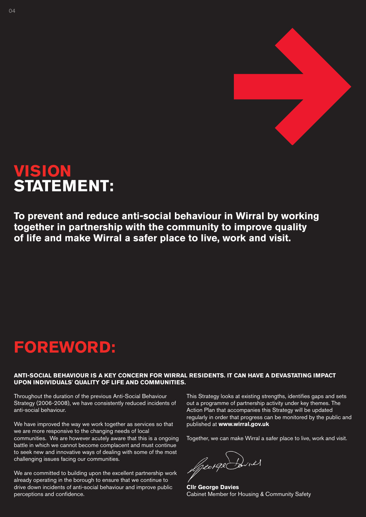



**To prevent and reduce anti-social behaviour in Wirral by working together in partnership with the community to improve quality of life and make Wirral a safer place to live, work and visit.**

## **FOREWORD:**

### **ANTI-SOCIAL BEHAVIOUR IS A KEY CONCERN FOR WIRRAL RESIDENTS. IT CAN HAVE A DEVASTATING IMPACT UPON INDIVIDUALS' QUALITY OF LIFE AND COMMUNITIES.**

Throughout the duration of the previous Anti-Social Behaviour Strategy (2006-2008), we have consistently reduced incidents of anti-social behaviour.

We have improved the way we work together as services so that we are more responsive to the changing needs of local communities. We are however acutely aware that this is a ongoing battle in which we cannot become complacent and must continue to seek new and innovative ways of dealing with some of the most challenging issues facing our communities.

We are committed to building upon the excellent partnership work already operating in the borough to ensure that we continue to drive down incidents of anti-social behaviour and improve public perceptions and confidence.

This Strategy looks at existing strengths, identifies gaps and sets out a programme of partnership activity under key themes. The Action Plan that accompanies this Strategy will be updated regularly in order that progress can be monitored by the public and published at **www.wirral.gov.uk**

Together, we can make Wirral a safer place to live, work and visit.

George Davies

**Cllr George Davies** Cabinet Member for Housing & Community Safety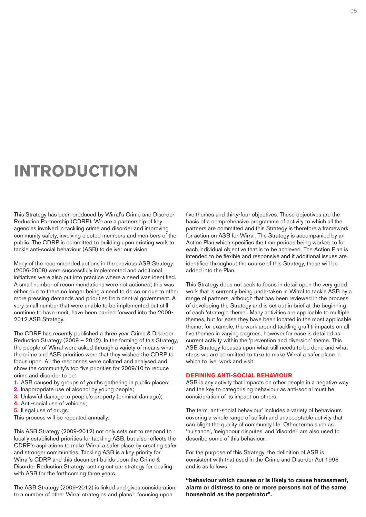## **INTRODUCTION**

This Strategy has been produced by Wirral's Crime and Disorder Reduction Partnership (CDRP). We are a partnership of key agencies involved in tackling crime and disorder and improving community safety, involving elected members and members of the public. The CDRP is committed to building upon existing work to tackle anti-social behaviour (ASB) to deliver our vision.

Many of the recommended actions in the previous ASB Strategy (2006-2008) were successfully implemented and additional initiatives were also put into practice where a need was identified. A small number of recommendations were not actioned; this was either due to there no longer being a need to do so or due to other more pressing demands and priorities from central government. A very small number that were unable to be implemented but still continue to have merit, have been carried forward into the 2009- 2012 ASB Strategy.

The CDRP has recently published a three year Crime & Disorder Reduction Strategy (2009 – 2012). In the forming of this Strategy, the people of Wirral were asked through a variety of means what the crime and ASB priorities were that they wished the CDRP to focus upon. All the responses were collated and analysed and show the community's top five priorities for 2009/10 to reduce crime and disorder to be:

- **1.** ASB caused by groups of youths gathering in public places;
- **2.** Inappropriate use of alcohol by young people;
- **3.** Unlawful damage to people's property (criminal damage);
- **4.** Anti-social use of vehicles;
- **5.** Illegal use of drugs.

This process will be repeated annually.

This ASB Strategy (2009-2012) not only sets out to respond to locally established priorities for tackling ASB, but also reflects the CDRP's aspirations to make Wirral a safer place by creating safer and stronger communities. Tackling ASB is a key priority for Wirral's CDRP and this document builds upon the Crime & Disorder Reduction Strategy, setting out our strategy for dealing with ASB for the forthcoming three years.

The ASB Strategy (2009-2012) is linked and gives consideration to a number of other Wirral strategies and plans<sup>1</sup>; focusing upon

five themes and thirty-four objectives. These objectives are the basis of a comprehensive programme of activity to which all the partners are committed and this Strategy is therefore a framework for action on ASB for Wirral. The Strategy is accompanied by an Action Plan which specifies the time periods being worked to for each individual objective that is to be achieved. The Action Plan is intended to be flexible and responsive and if additional issues are identified throughout the course of this Strategy, these will be added into the Plan.

This Strategy does not seek to focus in detail upon the very good work that is currently being undertaken in Wirral to tackle ASB by a range of partners, although that has been reviewed in the process of developing the Strategy and is set out in brief at the beginning of each 'strategic theme'. Many activities are applicable to multiple themes, but for ease they have been located in the most applicable theme; for example, the work around tackling graffiti impacts on all five themes in varying degrees, however for ease is detailed as current activity within the 'prevention and diversion' theme. This ASB Strategy focuses upon what still needs to be done and what steps we are committed to take to make Wirral a safer place in which to live, work and visit.

### **DEFINING ANTI-SOCIAL BEHAVIOUR**

ASB is any activity that impacts on other people in a negative way and the key to categorising behaviour as anti-social must be consideration of its impact on others.

The term 'anti-social behaviour' includes a variety of behaviours covering a whole range of selfish and unacceptable activity that can blight the quality of community life. Other terms such as 'nuisance', 'neighbour disputes' and 'disorder' are also used to describe some of this behaviour.

For the purpose of this Strategy, the definition of ASB is consistent with that used in the Crime and Disorder Act 1998 and is as follows:

**"behaviour which causes or is likely to cause harassment, alarm or distress to one or more persons not of the same household as the perpetrator".**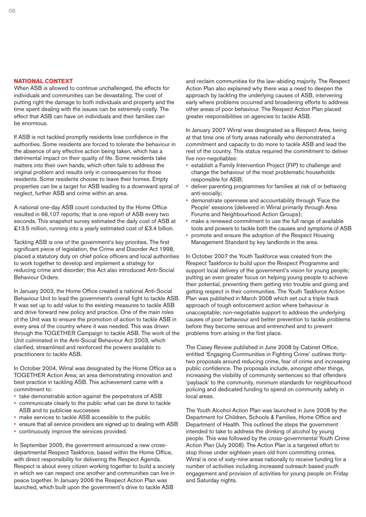## **NATIONAL CONTEXT**

When ASB is allowed to continue unchallenged, the effects for individuals and communities can be devastating. The cost of putting right the damage to both individuals and property and the time spent dealing with the issues can be extremely costly. The effect that ASB can have on individuals and their families can be enormous.

If ASB is not tackled promptly residents lose confidence in the authorities. Some residents are forced to tolerate the behaviour in the absence of any effective action being taken, which has a detrimental impact on their quality of life. Some residents take matters into their own hands, which often fails to address the original problem and results only in consequences for those residents. Some residents choose to leave their homes. Empty properties can be a target for ASB leading to a downward spiral of neglect, further ASB and crime within an area.

A national one-day ASB count conducted by the Home Office resulted in 66,107 reports; that is one report of ASB every two seconds. This snapshot survey estimated the daily cost of ASB at £13.5 million, running into a yearly estimated cost of £3.4 billion.

Tackling ASB is one of the government's key priorities. The first significant piece of legislation, the Crime and Disorder Act 1998, placed a statutory duty on chief police officers and local authorities to work together to develop and implement a strategy for reducing crime and disorder; this Act also introduced Anti-Social Behaviour Orders.

In January 2003, the Home Office created a national Anti-Social Behaviour Unit to lead the government's overall fight to tackle ASB. It was set up to add value to the existing measures to tackle ASB and drive forward new policy and practice. One of the main roles of the Unit was to ensure the promotion of action to tackle ASB in every area of the country where it was needed. This was driven through the TOGETHER Campaign to tackle ASB. The work of the Unit culminated in the Anti-Social Behaviour Act 2003, which clarified, streamlined and reinforced the powers available to practitioners to tackle ASB.

In October 2004, Wirral was designated by the Home Office as a TOGETHER Action Area; an area demonstrating innovation and best practice in tackling ASB. This achievement came with a commitment to:

- take demonstrable action against the perpetrators of ASB
- communicate clearly to the public what can be done to tackle ASB and to publicise successes
- make services to tackle ASB accessible to the public
- ensure that all service providers are signed up to dealing with ASB
- continuously improve the services provided.

In September 2005, the government announced a new crossdepartmental Respect Taskforce, based within the Home Office, with direct responsibility for delivering the Respect Agenda. Respect is about every citizen working together to build a society in which we can respect one another and communities can live in peace together. In January 2006 the Respect Action Plan was launched, which built upon the government's drive to tackle ASB

and reclaim communities for the law-abiding majority. The Respect Action Plan also explained why there was a need to deepen the approach by tackling the underlying causes of ASB, intervening early where problems occurred and broadening efforts to address other areas of poor behaviour. The Respect Action Plan placed greater responsibilities on agencies to tackle ASB.

In January 2007 Wirral was designated as a Respect Area, being at that time one of forty areas nationally who demonstrated a commitment and capacity to do more to tackle ASB and lead the rest of the country. This status required the commitment to deliver five non-negotiables:

- establish a Family Intervention Project (FIP) to challenge and change the behaviour of the most problematic households responsible for ASB;
- deliver parenting programmes for families at risk of or behaving anti-socially;
- demonstrate openness and accountability through 'Face the People' sessions (delivered in Wirral primarily through Area Forums and Neighbourhood Action Groups);
- make a renewed commitment to use the full range of available tools and powers to tackle both the causes and symptoms of ASB
- promote and ensure the adoption of the Respect Housing Management Standard by key landlords in the area.

In October 2007 the Youth Taskforce was created from the Respect Taskforce to build upon the Respect Programme and support local delivery of the government's vision for young people; putting an even greater focus on helping young people to achieve their potential, preventing them getting into trouble and giving and getting respect in their communities. The Youth Taskforce Action Plan was published in March 2008 which set out a triple track approach of tough enforcement action where behaviour is unacceptable; non-negotiable support to address the underlying causes of poor behaviour and better prevention to tackle problems before they become serious and entrenched and to prevent problems from arising in the first place.

The Casey Review published in June 2008 by Cabinet Office, entitled 'Engaging Communities in Fighting Crime' outlines thirtytwo proposals around reducing crime, fear of crime and increasing public confidence. The proposals include, amongst other things, increasing the visibility of community sentences so that offenders 'payback' to the community, minimum standards for neighbourhood policing and dedicated funding to spend on community safety in local areas.

The Youth Alcohol Action Plan was launched in June 2008 by the Department for Children, Schools & Families, Home Office and Department of Health. This outlined the steps the government intended to take to address the drinking of alcohol by young people. This was followed by the cross-governmental Youth Crime Action Plan (July 2008). The Action Plan is a targeted effort to stop those under eighteen years old from committing crimes. Wirral is one of sixty-nine areas nationally to receive funding for a number of activities including increased outreach based youth engagement and provision of activities for young people on Friday and Saturday nights.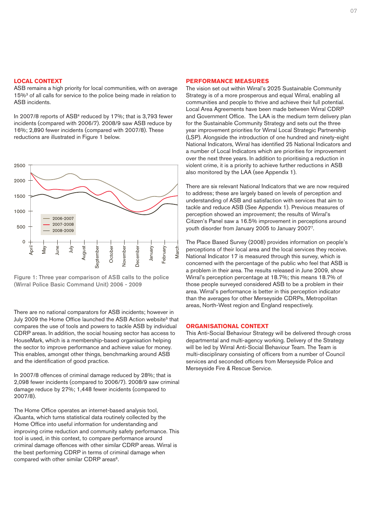#### **LOCAL CONTEXT**

ASB remains a high priority for local communities, with on average 15%3 of all calls for service to the police being made in relation to ASB incidents.

In 2007/8 reports of ASB<sup>4</sup> reduced by 17%; that is 3,793 fewer incidents (compared with 2006/7). 2008/9 saw ASB reduce by 16%; 2,890 fewer incidents (compared with 2007/8). These reductions are illustrated in Figure 1 below.



Figure 1: Three year comparison of ASB calls to the police (Wirral Police Basic Command Unit) 2006 - 2009

There are no national comparators for ASB incidents; however in July 2009 the Home Office launched the ASB Action website<sup>5</sup> that compares the use of tools and powers to tackle ASB by individual CDRP areas. In addition, the social housing sector has access to HouseMark, which is a membership-based organisation helping the sector to improve performance and achieve value for money. This enables, amongst other things, benchmarking around ASB and the identification of good practice.

In 2007/8 offences of criminal damage reduced by 28%; that is 2,098 fewer incidents (compared to 2006/7). 2008/9 saw criminal damage reduce by 27%; 1,448 fewer incidents (compared to 2007/8).

The Home Office operates an internet-based analysis tool, iQuanta, which turns statistical data routinely collected by the Home Office into useful information for understanding and improving crime reduction and community safety performance. This tool is used, in this context, to compare performance around criminal damage offences with other similar CDRP areas. Wirral is the best performing CDRP in terms of criminal damage when compared with other similar CDRP areas<sup>6</sup>.

#### **PERFORMANCE MEASURES**

The vision set out within Wirral's 2025 Sustainable Community Strategy is of a more prosperous and equal Wirral, enabling all communities and people to thrive and achieve their full potential. Local Area Agreements have been made between Wirral CDRP and Government Office. The LAA is the medium term delivery plan for the Sustainable Community Strategy and sets out the three year improvement priorities for Wirral Local Strategic Partnership (LSP). Alongside the introduction of one hundred and ninety-eight National Indicators, Wirral has identified 25 National Indicators and a number of Local Indicators which are priorities for improvement over the next three years. In addition to prioritising a reduction in violent crime, it is a priority to achieve further reductions in ASB also monitored by the LAA (see Appendix 1).

There are six relevant National Indicators that we are now required to address; these are largely based on levels of perception and understanding of ASB and satisfaction with services that aim to tackle and reduce ASB (See Appendix 1). Previous measures of perception showed an improvement; the results of Wirral's Citizen's Panel saw a 16.5% improvement in perceptions around youth disorder from January 2005 to January 20077.

The Place Based Survey (2008) provides information on people's perceptions of their local area and the local services they receive. National Indicator 17 is measured through this survey, which is concerned with the percentage of the public who feel that ASB is a problem in their area. The results released in June 2009, show Wirral's perception percentage at 18.7%; this means 18.7% of those people surveyed considered ASB to be a problem in their area. Wirral's performance is better in this perception indicator than the averages for other Merseyside CDRPs, Metropolitan areas, North-West region and England respectively.

## **ORGANISATIONAL CONTEXT**

This Anti-Social Behaviour Strategy will be delivered through cross departmental and multi-agency working. Delivery of the Strategy will be led by Wirral Anti-Social Behaviour Team. The Team is multi-disciplinary consisting of officers from a number of Council services and seconded officers from Merseyside Police and Merseyside Fire & Rescue Service.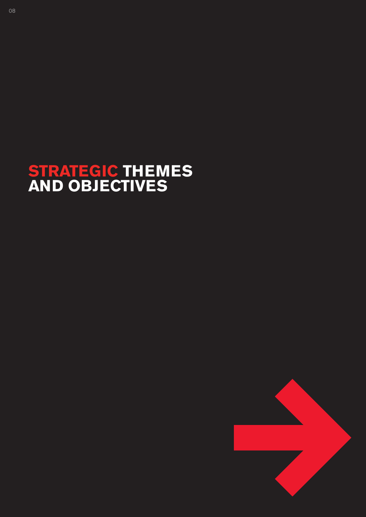## **STRATEGIC THEMES AND OBJECTIVES**

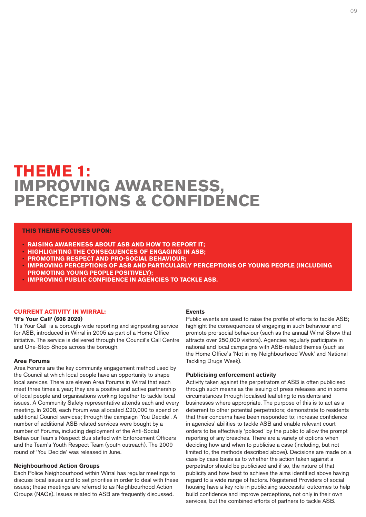## **THEME 1: IMPROVING AWARENESS, PERCEPTIONS & CONFIDENCE**

#### **THIS THEME FOCUSES UPON:**

- **• RAISING AWARENESS ABOUT ASB AND HOW TO REPORT IT;**
- **• HIGHLIGHTING THE CONSEQUENCES OF ENGAGING IN ASB;**
- **• PROMOTING RESPECT AND PRO-SOCIAL BEHAVIOUR;**
- **• IMPROVING PERCEPTIONS OF ASB AND PARTICULARLY PERCEPTIONS OF YOUNG PEOPLE (INCLUDING PROMOTING YOUNG PEOPLE POSITIVELY);**
- **• IMPROVING PUBLIC CONFIDENCE IN AGENCIES TO TACKLE ASB.**

#### **CURRENT ACTIVITY IN WIRRAL:**

## **'It's Your Call' (606 2020)**

'It's Your Call' is a borough-wide reporting and signposting service for ASB, introduced in Wirral in 2005 as part of a Home Office initiative. The service is delivered through the Council's Call Centre and One-Stop Shops across the borough.

## **Area Forums**

Area Forums are the key community engagement method used by the Council at which local people have an opportunity to shape local services. There are eleven Area Forums in Wirral that each meet three times a year; they are a positive and active partnership of local people and organisations working together to tackle local issues. A Community Safety representative attends each and every meeting. In 2008, each Forum was allocated £20,000 to spend on additional Council services; through the campaign 'You Decide'. A number of additional ASB related services were bought by a number of Forums, including deployment of the Anti-Social Behaviour Team's Respect Bus staffed with Enforcement Officers and the Team's Youth Respect Team (youth outreach). The 2009 round of 'You Decide' was released in June.

## **Neighbourhood Action Groups**

Each Police Neighbourhood within Wirral has regular meetings to discuss local issues and to set priorities in order to deal with these issues; these meetings are referred to as Neighbourhood Action Groups (NAGs). Issues related to ASB are frequently discussed.

#### **Events**

Public events are used to raise the profile of efforts to tackle ASB; highlight the consequences of engaging in such behaviour and promote pro-social behaviour (such as the annual Wirral Show that attracts over 250,000 visitors). Agencies regularly participate in national and local campaigns with ASB-related themes (such as the Home Office's 'Not in my Neighbourhood Week' and National Tackling Drugs Week).

#### **Publicising enforcement activity**

Activity taken against the perpetrators of ASB is often publicised through such means as the issuing of press releases and in some circumstances through localised leafleting to residents and businesses where appropriate. The purpose of this is to act as a deterrent to other potential perpetrators; demonstrate to residents that their concerns have been responded to; increase confidence in agencies' abilities to tackle ASB and enable relevant court orders to be effectively 'policed' by the public to allow the prompt reporting of any breaches. There are a variety of options when deciding how and when to publicise a case (including, but not limited to, the methods described above). Decisions are made on a case by case basis as to whether the action taken against a perpetrator should be publicised and if so, the nature of that publicity and how best to achieve the aims identified above having regard to a wide range of factors. Registered Providers of social housing have a key role in publicising successful outcomes to help build confidence and improve perceptions, not only in their own services, but the combined efforts of partners to tackle ASB.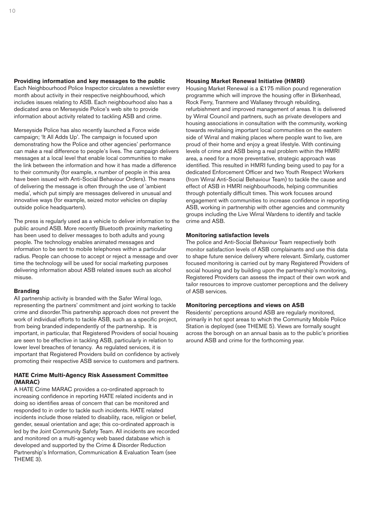#### **Providing information and key messages to the public**

Each Neighbourhood Police Inspector circulates a newsletter every month about activity in their respective neighbourhood, which includes issues relating to ASB. Each neighbourhood also has a dedicated area on Merseyside Police's web site to provide information about activity related to tackling ASB and crime.

Merseyside Police has also recently launched a Force wide campaign; 'It All Adds Up'. The campaign is focused upon demonstrating how the Police and other agencies' performance can make a real difference to people's lives. The campaign delivers messages at a local level that enable local communities to make the link between the information and how it has made a difference to their community (for example, x number of people in this area have been issued with Anti-Social Behaviour Orders). The means of delivering the message is often through the use of 'ambient media', which put simply are messages delivered in unusual and innovative ways (for example, seized motor vehicles on display outside police headquarters).

The press is regularly used as a vehicle to deliver information to the public around ASB. More recently Bluetooth proximity marketing has been used to deliver messages to both adults and young people. The technology enables animated messages and information to be sent to mobile telephones within a particular radius. People can choose to accept or reject a message and over time the technology will be used for social marketing purposes delivering information about ASB related issues such as alcohol misuse.

## **Branding**

All partnership activity is branded with the Safer Wirral logo, representing the partners' commitment and joint working to tackle crime and disorder.This partnership approach does not prevent the work of individual efforts to tackle ASB, such as a specific project, from being branded independently of the partnership. It is important, in particular, that Registered Providers of social housing are seen to be effective in tackling ASB, particularly in relation to lower level breaches of tenancy. As regulated services, it is important that Registered Providers build on confidence by actively promoting their respective ASB service to customers and partners.

## **HATE Crime Multi-Agency Risk Assessment Committee (MARAC)**

A HATE Crime MARAC provides a co-ordinated approach to increasing confidence in reporting HATE related incidents and in doing so identifies areas of concern that can be monitored and responded to in order to tackle such incidents. HATE related incidents include those related to disability, race, religion or belief, gender, sexual orientation and age; this co-ordinated approach is led by the Joint Community Safety Team. All incidents are recorded and monitored on a multi-agency web based database which is developed and supported by the Crime & Disorder Reduction Partnership's Information, Communication & Evaluation Team (see THEME 3).

## **Housing Market Renewal Initiative (HMRI)**

Housing Market Renewal is a £175 million pound regeneration programme which will improve the housing offer in Birkenhead, Rock Ferry, Tranmere and Wallasey through rebuilding, refurbishment and improved management of areas. It is delivered by Wirral Council and partners, such as private developers and housing associations in consultation with the community, working towards revitalising important local communities on the eastern side of Wirral and making places where people want to live, are proud of their home and enjoy a great lifestyle. With continuing levels of crime and ASB being a real problem within the HMRI area, a need for a more preventative, strategic approach was identified. This resulted in HMRI funding being used to pay for a dedicated Enforcement Officer and two Youth Respect Workers (from Wirral Anti-Social Behaviour Team) to tackle the cause and effect of ASB in HMRI neighbourhoods, helping communities through potentially difficult times. This work focuses around engagement with communities to increase confidence in reporting ASB, working in partnership with other agencies and community groups including the Live Wirral Wardens to identify and tackle crime and ASB.

#### **Monitoring satisfaction levels**

The police and Anti-Social Behaviour Team respectively both monitor satisfaction levels of ASB complainants and use this data to shape future service delivery where relevant. Similarly, customer focused monitoring is carried out by many Registered Providers of social housing and by building upon the partnership's monitoring, Registered Providers can assess the impact of their own work and tailor resources to improve customer perceptions and the delivery of ASB services.

### **Monitoring perceptions and views on ASB**

Residents' perceptions around ASB are regularly monitored, primarily in hot spot areas to which the Community Mobile Police Station is deployed (see THEME 5). Views are formally sought across the borough on an annual basis as to the public's priorities around ASB and crime for the forthcoming year.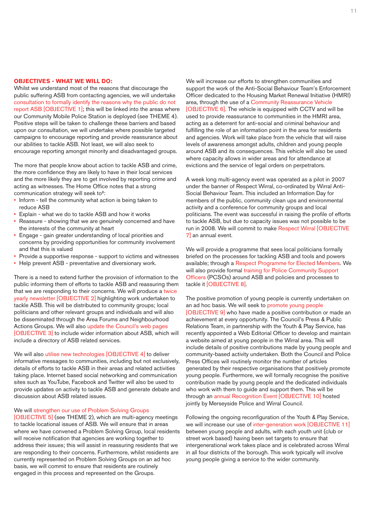#### **OBJECTIVES - WHAT WE WILL DO:**

Whilst we understand most of the reasons that discourage the public suffering ASB from contacting agencies, we will undertake consultation to formally identify the reasons why the public do not report ASB [OBJECTIVE 1]; this will be linked into the areas where our Community Mobile Police Station is deployed (see THEME 4). Positive steps will be taken to challenge these barriers and based upon our consultation, we will undertake where possible targeted campaigns to encourage reporting and provide reassurance about our abilities to tackle ASB. Not least, we will also seek to encourage reporting amongst minority and disadvantaged groups.

The more that people know about action to tackle ASB and crime, the more confidence they are likely to have in their local services and the more likely they are to get involved by reporting crime and acting as witnesses. The Home Office notes that a strong communication strategy will seek to<sup>8</sup>:

- Inform tell the community what action is being taken to reduce ASB
- Explain what we do to tackle ASB and how it works
- Reassure showing that we are genuinely concerned and have the interests of the community at heart
- Engage gain greater understanding of local priorities and concerns by providing opportunities for community involvement and that this is valued
- Provide a supportive response support to victims and witnesses
- Help prevent ASB preventative and diversionary work.

There is a need to extend further the provision of information to the public informing them of efforts to tackle ASB and reassuring them that we are responding to their concerns. We will produce a twice yearly newsletter [OBJECTIVE 2] highlighting work undertaken to tackle ASB. This will be distributed to community groups; local politicians and other relevant groups and individuals and will also be disseminated through the Area Forums and Neighbourhood Actions Groups. We will also update the Council's web pages [OBJECTIVE 3] to include wider information about ASB, which will include a directory of ASB related services.

We will also utilise new technologies [OBJECTIVE 4] to deliver informative messages to communities, including but not exclusively, details of efforts to tackle ASB in their areas and related activities taking place. Internet based social networking and communication sites such as YouTube, Facebook and Twitter will also be used to provide updates on activity to tackle ASB and generate debate and discussion about ASB related issues.

#### We will strengthen our use of Problem Solving Groups

[OBJECTIVE 5] (see THEME 2), which are multi-agency meetings to tackle locational issues of ASB. We will ensure that in areas where we have convened a Problem Solving Group, local residents will receive notification that agencies are working together to address their issues; this will assist in reassuring residents that we are responding to their concerns. Furthermore, whilst residents are currently represented on Problem Solving Groups on an ad hoc basis, we will commit to ensure that residents are routinely engaged in this process and represented on the Groups.

We will increase our efforts to strengthen communities and support the work of the Anti-Social Behaviour Team's Enforcement Officer dedicated to the Housing Market Renewal Initiative (HMRI) area, through the use of a Community Reassurance Vehicle [OBJECTIVE 6]. The vehicle is equipped with CCTV and will be used to provide reassurance to communities in the HMRI area, acting as a deterrent for anti-social and criminal behaviour and fulfilling the role of an information point in the area for residents and agencies. Work will take place from the vehicle that will raise levels of awareness amongst adults, children and young people around ASB and its consequences. This vehicle will also be used where capacity allows in wider areas and for attendance at evictions and the service of legal orders on perpetrators.

A week long multi-agency event was operated as a pilot in 2007 under the banner of Respect Wirral, co-ordinated by Wirral Anti-Social Behaviour Team. This included an Information Day for members of the public, community clean ups and environmental activity and a conference for community groups and local politicians. The event was successful in raising the profile of efforts to tackle ASB, but due to capacity issues was not possible to be run in 2008. We will commit to make Respect Wirral [OBJECTIVE 7] an annual event.

We will provide a programme that sees local politicians formally briefed on the processes for tackling ASB and tools and powers available; through a Respect Programme for Elected Members. We will also provide formal training for Police Community Support Officers (PCSOs) around ASB and policies and processes to tackle it [OBJECTIVE 8].

The positive promotion of young people is currently undertaken on an ad hoc basis. We will seek to promote young people [OBJECTIVE 9] who have made a positive contribution or made an achievement at every opportunity. The Council's Press & Public Relations Team, in partnership with the Youth & Play Service, has recently appointed a Web Editorial Officer to develop and maintain a website aimed at young people in the Wirral area. This will include details of positive contributions made by young people and community-based activity undertaken. Both the Council and Police Press Offices will routinely monitor the number of articles generated by their respective organisations that positively promote young people. Furthermore, we will formally recognise the positive contribution made by young people and the dedicated individuals who work with them to guide and support them. This will be through an annual Recognition Event [OBJECTIVE 10] hosted jointly by Merseyside Police and Wirral Council.

Following the ongoing reconfiguration of the Youth & Play Service, we will increase our use of inter-generation work [OBJECTIVE 11] between young people and adults, with each youth unit (club or street work based) having been set targets to ensure that intergenerational work takes place and is celebrated across Wirral in all four districts of the borough. This work typically will involve young people giving a service to the wider community.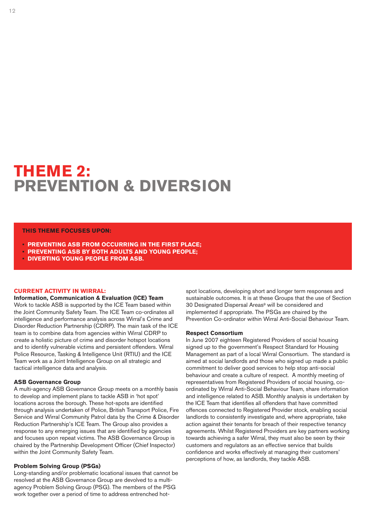## **THEME 2: PREVENTION & DIVERSION**

#### **THIS THEME FOCUSES UPON:**

- **• PREVENTING ASB FROM OCCURRING IN THE FIRST PLACE;**
- **• PREVENTING ASB BY BOTH ADULTS AND YOUNG PEOPLE;**
- **• DIVERTING YOUNG PEOPLE FROM ASB.**

#### **CURRENT ACTIVITY IN WIRRAL:**

**Information, Communication & Evaluation (ICE) Team** Work to tackle ASB is supported by the ICE Team based within the Joint Community Safety Team. The ICE Team co-ordinates all intelligence and performance analysis across Wirral's Crime and Disorder Reduction Partnership (CDRP). The main task of the ICE team is to combine data from agencies within Wirral CDRP to create a holistic picture of crime and disorder hotspot locations and to identify vulnerable victims and persistent offenders. Wirral Police Resource, Tasking & Intelligence Unit (RTIU) and the ICE Team work as a Joint Intelligence Group on all strategic and tactical intelligence data and analysis.

#### **ASB Governance Group**

A multi-agency ASB Governance Group meets on a monthly basis to develop and implement plans to tackle ASB in 'hot spot' locations across the borough. These hot-spots are identified through analysis undertaken of Police, British Transport Police, Fire Service and Wirral Community Patrol data by the Crime & Disorder Reduction Partnership's ICE Team. The Group also provides a response to any emerging issues that are identified by agencies and focuses upon repeat victims. The ASB Governance Group is chaired by the Partnership Development Officer (Chief Inspector) within the Joint Community Safety Team.

## **Problem Solving Group (PSGs)**

Long-standing and/or problematic locational issues that cannot be resolved at the ASB Governance Group are devolved to a multiagency Problem Solving Group (PSG). The members of the PSG work together over a period of time to address entrenched hotspot locations, developing short and longer term responses and sustainable outcomes. It is at these Groups that the use of Section 30 Designated Dispersal Areas<sup>9</sup> will be considered and implemented if appropriate. The PSGs are chaired by the Prevention Co-ordinator within Wirral Anti-Social Behaviour Team.

#### **Respect Consortium**

In June 2007 eighteen Registered Providers of social housing signed up to the government's Respect Standard for Housing Management as part of a local Wirral Consortium. The standard is aimed at social landlords and those who signed up made a public commitment to deliver good services to help stop anti-social behaviour and create a culture of respect. A monthly meeting of representatives from Registered Providers of social housing, coordinated by Wirral Anti-Social Behaviour Team, share information and intelligence related to ASB. Monthly analysis is undertaken by the ICE Team that identifies all offenders that have committed offences connected to Registered Provider stock, enabling social landlords to consistently investigate and, where appropriate, take action against their tenants for breach of their respective tenancy agreements. Whilst Registered Providers are key partners working towards achieving a safer Wirral, they must also be seen by their customers and regulators as an effective service that builds confidence and works effectively at managing their customers' perceptions of how, as landlords, they tackle ASB.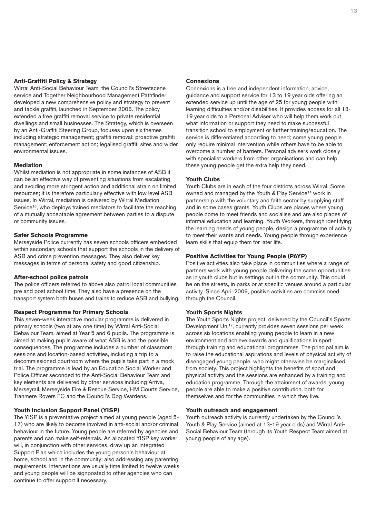#### **Anti-Graffiti Policy & Strategy**

Wirral Anti-Social Behaviour Team, the Council's Streetscene service and Together Neighbourhood Management Pathfinder developed a new comprehensive policy and strategy to prevent and tackle graffiti, launched in September 2008. The policy extended a free graffiti removal service to private residential dwellings and small businesses. The Strategy, which is overseen by an Anti-Graffiti Steering Group, focuses upon six themes including strategic management; graffiti removal; proactive graffiti management; enforcement action; legalised graffiti sites and wider environmental issues.

#### **Mediation**

Whilst mediation is not appropriate in some instances of ASB it can be an effective way of preventing situations from escalating and avoiding more stringent action and additional strain on limited resources; it is therefore particularly effective with low level ASB issues. In Wirral, mediation is delivered by Wirral Mediation Service<sup>10</sup>, who deploys trained mediators to facilitate the reaching of a mutually acceptable agreement between parties to a dispute or community issues.

#### **Safer Schools Programme**

Merseyside Police currently has seven schools officers embedded within secondary schools that support the schools in the delivery of ASB and crime prevention messages. They also deliver key messages in terms of personal safety and good citizenship.

#### **After-school police patrols**

The police officers referred to above also patrol local communities pre and post school time. They also have a presence on the transport system both buses and trains to reduce ASB and bullying.

#### **Respect Programme for Primary Schools**

This seven-week interactive modular programme is delivered in primary schools (two at any one time) by Wirral Anti-Social Behaviour Team, aimed at Year 5 and 6 pupils. The programme is aimed at making pupils aware of what ASB is and the possible consequences. The programme includes a number of classroom sessions and location-based activities, including a trip to a decommissioned courtroom where the pupils take part in a mock trial. The programme is lead by an Education Social Worker and Police Officer seconded to the Anti-Social Behaviour Team and key elements are delivered by other services including Arriva, Merseyrail, Merseyside Fire & Rescue Service, HM Courts Service, Tranmere Rovers FC and the Council's Dog Wardens.

## **Youth Inclusion Support Panel (YISP)**

The YISP is a preventative project aimed at young people (aged 5- 17) who are likely to become involved in anti-social and/or criminal behaviour in the future. Young people are referred by agencies and parents and can make self-referrals. An allocated YISP key worker will, in conjunction with other services, draw up an Integrated Support Plan which includes the young person's behaviour at home, school and in the community; also addressing any parenting requirements. Interventions are usually time limited to twelve weeks and young people will be signposted to other agencies who can continue to offer support if necessary.

#### **Connexions**

Connexions is a free and independent information, advice, guidance and support service for 13 to 19 year olds offering an extended service up until the age of 25 for young people with learning difficulties and/or disabilities. It provides access for all 13- 19 year olds to a Personal Adviser who will help them work out what information or support they need to make successful transition school to employment or further training/education. The service is differentiated according to need; some young people only require minimal intervention while others have to be able to overcome a number of barriers. Personal advisers work closely with specialist workers from other organisations and can help these young people get the extra help they need.

#### **Youth Clubs**

Youth Clubs are in each of the four districts across Wirral. Some owned and managed by the Youth & Play Service11 work in partnership with the voluntary and faith sector by supplying staff and in some cases grants. Youth Clubs are places where young people come to meet friends and socialise and are also places of informal education and learning. Youth Workers, through identifying the learning needs of young people, design a programme of activity to meet their wants and needs. Young people through experience learn skills that equip them for later life.

#### **Positive Activities for Young People (PAYP)**

Positive activities also take place in communities where a range of partners work with young people delivering the same opportunities as in youth clubs but in settings out in the community. This could be on the streets, in parks or at specific venues around a particular activity. Since April 2009, positive activities are commissioned through the Council.

## **Youth Sports Nights**

The Youth Sports Nights project, delivered by the Council's Sports Development Uni<sup>12</sup>, currently provides seven sessions per week across six locations enabling young people to learn in a new environment and achieve awards and qualifications in sport through training and educational programmes. The principal aim is to raise the educational aspirations and levels of physical activity of disengaged young people, who might otherwise be marginalised from society. This project highlights the benefits of sport and physical activity and the sessions are enhanced by a training and education programme. Through the attainment of awards, young people are able to make a positive contribution, both for themselves and for the communities in which they live.

## **Youth outreach and engagement**

Youth outreach activity is currently undertaken by the Council's Youth & Play Service (aimed at 13-19 year olds) and Wirral Anti-Social Behaviour Team (through its Youth Respect Team aimed at young people of any age).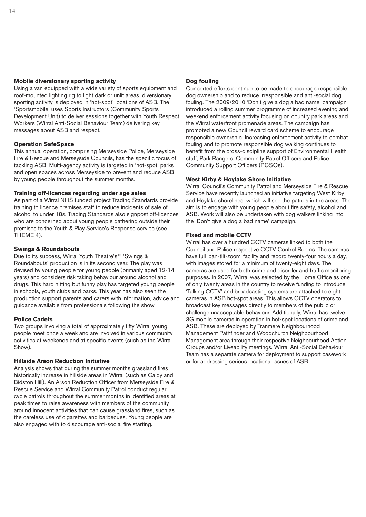#### **Mobile diversionary sporting activity**

Using a van equipped with a wide variety of sports equipment and roof-mounted lighting rig to light dark or unlit areas, diversionary sporting activity is deployed in 'hot-spot' locations of ASB. The 'Sportsmobile' uses Sports Instructors (Community Sports Development Unit) to deliver sessions together with Youth Respect Workers (Wirral Anti-Social Behaviour Team) delivering key messages about ASB and respect.

## **Operation SafeSpace**

This annual operation, comprising Merseyside Police, Merseyside Fire & Rescue and Merseyside Councils, has the specific focus of tackling ASB. Multi-agency activity is targeted in 'hot-spot' parks and open spaces across Merseyside to prevent and reduce ASB by young people throughout the summer months.

## **Training off-licences regarding under age sales**

As part of a Wirral NHS funded project Trading Standards provide training to licence premises staff to reduce incidents of sale of alcohol to under 18s. Trading Standards also signpost off-licences who are concerned about young people gathering outside their premises to the Youth & Play Service's Response service (see THEME 4).

## **Swings & Roundabouts**

Due to its success, Wirral Youth Theatre's<sup>13</sup> 'Swings & Roundabouts' production is in its second year. The play was devised by young people for young people (primarily aged 12-14 years) and considers risk taking behaviour around alcohol and drugs. This hard hitting but funny play has targeted young people in schools, youth clubs and parks. This year has also seen the production support parents and carers with information, advice and guidance available from professionals following the show.

## **Police Cadets**

Two groups involving a total of approximately fifty Wirral young people meet once a week and are involved in various community activities at weekends and at specific events (such as the Wirral Show).

## **Hillside Arson Reduction Initiative**

Analysis shows that during the summer months grassland fires historically increase in hillside areas in Wirral (such as Caldy and Bidston Hill). An Arson Reduction Officer from Merseyside Fire & Rescue Service and Wirral Community Patrol conduct regular cycle patrols throughout the summer months in identified areas at peak times to raise awareness with members of the community around innocent activities that can cause grassland fires, such as the careless use of cigarettes and barbecues. Young people are also engaged with to discourage anti-social fire starting.

## **Dog fouling**

Concerted efforts continue to be made to encourage responsible dog ownership and to reduce irresponsible and anti-social dog fouling. The 2009/2010 'Don't give a dog a bad name' campaign introduced a rolling summer programme of increased evening and weekend enforcement activity focusing on country park areas and the Wirral waterfront promenade areas. The campaign has promoted a new Council reward card scheme to encourage responsible ownership. Increasing enforcement activity to combat fouling and to promote responsible dog walking continues to benefit from the cross-discipline support of Environmental Health staff, Park Rangers, Community Patrol Officers and Police Community Support Officers (PCSOs).

## **West Kirby & Hoylake Shore Initiative**

Wirral Council's Community Patrol and Merseyside Fire & Rescue Service have recently launched an initiative targeting West Kirby and Hoylake shorelines, which will see the patrols in the areas. The aim is to engage with young people about fire safety, alcohol and ASB. Work will also be undertaken with dog walkers linking into the 'Don't give a dog a bad name' campaign.

## **Fixed and mobile CCTV**

Wirral has over a hundred CCTV cameras linked to both the Council and Police respective CCTV Control Rooms. The cameras have full 'pan-tilt-zoom' facility and record twenty-four hours a day, with images stored for a minimum of twenty-eight days. The cameras are used for both crime and disorder and traffic monitoring purposes. In 2007, Wirral was selected by the Home Office as one of only twenty areas in the country to receive funding to introduce 'Talking CCTV' and broadcasting systems are attached to eight cameras in ASB hot-spot areas. This allows CCTV operators to broadcast key messages directly to members of the public or challenge unacceptable behaviour. Additionally, Wirral has twelve 3G mobile cameras in operation in hot-spot locations of crime and ASB. These are deployed by Tranmere Neighbourhood Management Pathfinder and Woodchurch Neighbourhood Management area through their respective Neighbourhood Action Groups and/or Liveability meetings. Wirral Anti-Social Behaviour Team has a separate camera for deployment to support casework or for addressing serious locational issues of ASB.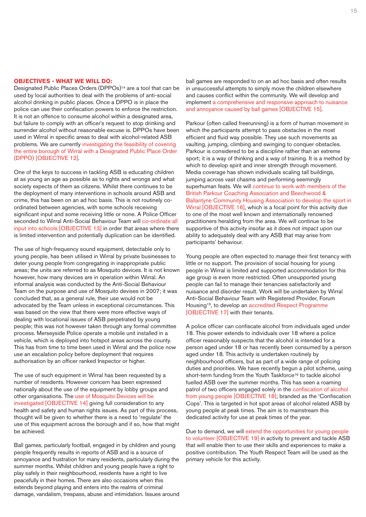#### **OBJECTIVES - WHAT WE WILL DO:**

Designated Public Places Orders (DPPOs)14 are a tool that can be used by local authorities to deal with the problems of anti-social alcohol drinking in public places. Once a DPPO is in place the police can use their confiscation powers to enforce the restriction. It is not an offence to consume alcohol within a designated area, but failure to comply with an officer's request to stop drinking and surrender alcohol without reasonable excuse is. DPPOs have been used in Wirral in specific areas to deal with alcohol-related ASB problems. We are currently investigating the feasibility of covering the entire borough of Wirral with a Designated Public Place Order (DPPO) [OBJECTIVE 12].

One of the keys to success in tackling ASB is educating children at as young an age as possible as to rights and wrongs and what society expects of them as citizens. Whilst there continues to be the deployment of many interventions in schools around ASB and crime, this has been on an ad hoc basis. This is not routinely coordinated between agencies, with some schools receiving significant input and some receiving little or none. A Police Officer seconded to Wirral Anti-Social Behaviour Team will co-ordinate all input into schools [OBJECTIVE 13] in order that areas where there is limited intervention and potentially duplication can be identified.

The use of high-frequency sound equipment, detectable only to young people, has been utilised in Wirral by private businesses to deter young people from congregating in inappropriate public areas; the units are referred to as Mosquito devices. It is not known however, how many devices are in operation within Wirral. An informal analysis was conducted by the Anti-Social Behaviour Team on the purpose and use of Mosquito devises in 2007; it was concluded that, as a general rule, their use would not be advocated by the Team unless in exceptional circumstances. This was based on the view that there were more effective ways of dealing with locational issues of ASB perpetrated by young people; this was not however taken through any formal committee process. Merseyside Police operate a mobile unit installed in a vehicle, which is deployed into hotspot areas across the county. This has from time to time been used in Wirral and the police now use an escalation policy before deployment that requires authorisation by an officer ranked Inspector or higher.

The use of such equipment in Wirral has been requested by a number of residents. However concern has been expressed nationally about the use of the equipment by lobby groups and other organisations. The use of Mosquito Devices will be investigated [OBJECTIVE 14] giving full consideration to any health and safety and human rights issues. As part of this process, thought will be given to whether there is a need to 'regulate' the use of this equipment across the borough and if so, how that might be achieved.

Ball games, particularly football, engaged in by children and young people frequently results in reports of ASB and is a source of annoyance and frustration for many residents, particularly during the summer months. Whilst children and young people have a right to play safely in their neighbourhood, residents have a right to live peacefully in their homes. There are also occasions when this extends beyond playing and enters into the realms of criminal damage, vandalism, trespass, abuse and intimidation. Issues around ball games are responded to on an ad hoc basis and often results in unsuccessful attempts to simply move the children elsewhere and causes conflict within the community. We will develop and implement a comprehensive and responsive approach to nuisance and annoyance caused by ball games [OBJECTIVE 15].

Parkour (often called freerunning) is a form of human movement in which the participants attempt to pass obstacles in the most efficient and fluid way possible. They use such movements as vaulting, jumping, climbing and swinging to conquer obstacles. Parkour is considered to be a discipline rather than an extreme sport; it is a way of thinking and a way of training. It is a method by which to develop spirit and inner strength through movement. Media coverage has shown individuals scaling tall buildings, jumping across vast chasms and performing seemingly superhuman feats. We will continue to work with members of the British Parkour Coaching Association and Beechwood & Ballantyne Community Housing Association to develop the sport in Wirral [OBJECTIVE 16], which is a focal point for this activity due to one of the most well known and internationally renowned practitioners heralding from the area. We will continue to be supportive of this activity insofar as it does not impact upon our ability to adequately deal with any ASB that may arise from participants' behaviour.

Young people are often expected to manage their first tenancy with little or no support. The provision of social housing for young people in Wirral is limited and supported accommodation for this age group is even more restricted. Often unsupported young people can fail to manage their tenancies satisfactorily and nuisance and disorder result. Work will be undertaken by Wirral Anti-Social Behaviour Team with Registered Provider, Forum Housing15, to develop an accredited Respect Programme [OBJECTIVE 17] with their tenants.

A police officer can confiscate alcohol from individuals aged under 18. This power extends to individuals over 18 where a police officer reasonably suspects that the alcohol is intended for a person aged under 18 or has recently been consumed by a person aged under 18. This activity is undertaken routinely by neighbourhood officers, but as part of a wide range of policing duties and priorities. We have recently begun a pilot scheme, using short-term funding from the Youth Taskforce<sup>16</sup> to tackle alcohol fuelled ASB over the summer months. This has seen a roaming patrol of two officers engaged solely in the confiscation of alcohol from young people [OBJECTIVE 18]; branded as the 'Confiscation Cops'. This is targeted in hot spot areas of alcohol related ASB by young people at peak times. The aim is to mainstream this dedicated activity for use at peak times of the year.

Due to demand, we will extend the opportunities for young people to volunteer [OBJECTIVE 19] in activity to prevent and tackle ASB that will enable then to use their skills and experiences to make a positive contribution. The Youth Respect Team will be used as the primary vehicle for this activity.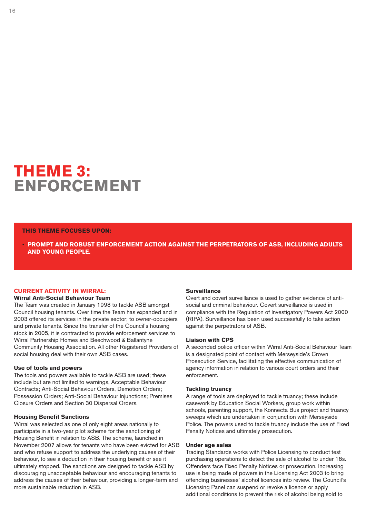## **THEME 3: ENFORCEMENT**

#### **THIS THEME FOCUSES UPON:**

**• PROMPT AND ROBUST ENFORCEMENT ACTION AGAINST THE PERPETRATORS OF ASB, INCLUDING ADULTS AND YOUNG PEOPLE.**

#### **CURRENT ACTIVITY IN WIRRAL:**

## **Wirral Anti-Social Behaviour Team**

The Team was created in January 1998 to tackle ASB amongst Council housing tenants. Over time the Team has expanded and in 2003 offered its services in the private sector; to owner-occupiers and private tenants. Since the transfer of the Council's housing stock in 2005, it is contracted to provide enforcement services to Wirral Partnership Homes and Beechwood & Ballantyne Community Housing Association. All other Registered Providers of social housing deal with their own ASB cases.

### **Use of tools and powers**

The tools and powers available to tackle ASB are used; these include but are not limited to warnings, Acceptable Behaviour Contracts; Anti-Social Behaviour Orders, Demotion Orders; Possession Orders; Anti-Social Behaviour Injunctions; Premises Closure Orders and Section 30 Dispersal Orders.

#### **Housing Benefit Sanctions**

Wirral was selected as one of only eight areas nationally to participate in a two-year pilot scheme for the sanctioning of Housing Benefit in relation to ASB. The scheme, launched in November 2007 allows for tenants who have been evicted for ASB and who refuse support to address the underlying causes of their behaviour, to see a deduction in their housing benefit or see it ultimately stopped. The sanctions are designed to tackle ASB by discouraging unacceptable behaviour and encouraging tenants to address the causes of their behaviour, providing a longer-term and more sustainable reduction in ASB.

#### **Surveillance**

Overt and covert surveillance is used to gather evidence of antisocial and criminal behaviour. Covert surveillance is used in compliance with the Regulation of Investigatory Powers Act 2000 (RIPA). Surveillance has been used successfully to take action against the perpetrators of ASB.

#### **Liaison with CPS**

A seconded police officer within Wirral Anti-Social Behaviour Team is a designated point of contact with Merseyside's Crown Prosecution Service, facilitating the effective communication of agency information in relation to various court orders and their enforcement.

#### **Tackling truancy**

A range of tools are deployed to tackle truancy; these include casework by Education Social Workers, group work within schools, parenting support, the Konnecta Bus project and truancy sweeps which are undertaken in conjunction with Merseyside Police. The powers used to tackle truancy include the use of Fixed Penalty Notices and ultimately prosecution.

#### **Under age sales**

Trading Standards works with Police Licensing to conduct test purchasing operations to detect the sale of alcohol to under 18s. Offenders face Fixed Penalty Notices or prosecution. Increasing use is being made of powers in the Licensing Act 2003 to bring offending businesses' alcohol licences into review. The Council's Licensing Panel can suspend or revoke a licence or apply additional conditions to prevent the risk of alcohol being sold to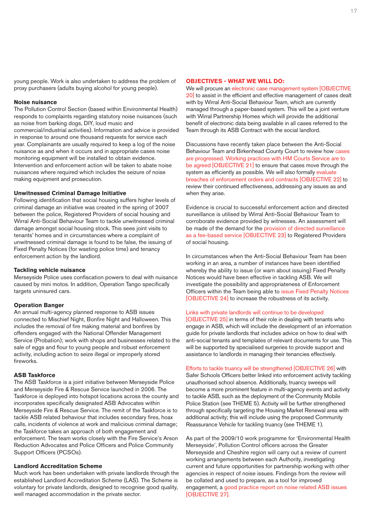young people. Work is also undertaken to address the problem of proxy purchasers (adults buying alcohol for young people).

#### **Noise nuisance**

The Pollution Control Section (based within Environmental Health) responds to complaints regarding statutory noise nuisances (such as noise from barking dogs, DIY, loud music and commercial/industrial activities). Information and advice is provided in response to around one thousand requests for service each year. Complainants are usually required to keep a log of the noise nuisance as and when it occurs and in appropriate cases noise monitoring equipment will be installed to obtain evidence. Intervention and enforcement action will be taken to abate noise nuisances where required which includes the seizure of noise making equipment and prosecution.

#### **Unwitnessed Criminal Damage Initiative**

Following identification that social housing suffers higher levels of criminal damage an initiative was created in the spring of 2007 between the police, Registered Providers of social housing and Wirral Anti-Social Behaviour Team to tackle unwitnessed criminal damage amongst social housing stock. This sees joint visits to tenants' homes and in circumstances where a complaint of unwitnessed criminal damage is found to be false, the issuing of Fixed Penalty Notices (for wasting police time) and tenancy enforcement action by the landlord.

#### **Tackling vehicle nuisance**

Merseyside Police uses confiscation powers to deal with nuisance caused by mini motos. In addition, Operation Tango specifically targets uninsured cars.

#### **Operation Banger**

An annual multi-agency planned response to ASB issues connected to Mischief Night, Bonfire Night and Halloween. This includes the removal of fire making material and bonfires by offenders engaged with the National Offender Management Service (Probation); work with shops and businesses related to the sale of eggs and flour to young people and robust enforcement activity, including action to seize illegal or improperly stored fireworks.

#### **ASB Taskforce**

The ASB Taskforce is a joint initiative between Merseyside Police and Merseyside Fire & Rescue Service launched in 2006. The Taskforce is deployed into hotspot locations across the county and incorporates specifically designated ASB Advocates within Merseyside Fire & Rescue Service. The remit of the Taskforce is to tackle ASB related behaviour that includes secondary fires, hoax calls, incidents of violence at work and malicious criminal damage; the Taskforce takes an approach of both engagement and enforcement. The team works closely with the Fire Service's Arson Reduction Advocates and Police Officers and Police Community Support Officers (PCSOs).

#### **Landlord Accreditation Scheme**

Much work has been undertaken with private landlords through the established Landlord Accreditation Scheme (LAS). The Scheme is voluntary for private landlords, designed to recognise good quality, well managed accommodation in the private sector.

#### **OBJECTIVES - WHAT WE WILL DO:**

We will procure an electronic case management system [OBJECTIVE 20] to assist in the efficient and effective management of cases dealt with by Wirral Anti-Social Behaviour Team, which are currently managed through a paper-based system. This will be a joint venture with Wirral Partnership Homes which will provide the additional benefit of electronic data being available in all cases referred to the Team through its ASB Contract with the social landlord.

Discussions have recently taken place between the Anti-Social Behaviour Team and Birkenhead County Court to review how cases are progressed. Working practices with HM Courts Service are to be agreed [OBJECTIVE 21] to ensure that cases move through the system as efficiently as possible. We will also formally evaluate breaches of enforcement orders and contracts [OBJECTIVE 22] to review their continued effectiveness, addressing any issues as and when they arise.

Evidence is crucial to successful enforcement action and directed surveillance is utilised by Wirral Anti-Social Behaviour Team to corroborate evidence provided by witnesses. An assessment will be made of the demand for the provision of directed surveillance as a fee-based service [OBJECTIVE 23] to Registered Providers of social housing.

In circumstances when the Anti-Social Behaviour Team has been working in an area, a number of instances have been identified whereby the ability to issue (or warn about issuing) Fixed Penalty Notices would have been effective in tackling ASB. We will investigate the possibility and appropriateness of Enforcement Officers within the Team being able to issue Fixed Penalty Notices [OBJECTIVE 24] to increase the robustness of its activity.

#### Links with private landlords will continue to be developed

[OBJECTIVE 25] in terms of their role in dealing with tenants who engage in ASB, which will include the development of an information guide for private landlords that includes advice on how to deal with anti-social tenants and templates of relevant documents for use. This will be supported by specialised surgeries to provide support and assistance to landlords in managing their tenancies effectively.

#### Efforts to tackle truancy will be strengthened [OBJECTIVE 26] with

Safer Schools Officers better linked into enforcement activity tackling unauthorised school absence. Additionally, truancy sweeps will become a more prominent feature in multi-agency events and activity to tackle ASB, such as the deployment of the Community Mobile Police Station (see THEME 5). Activity will be further strengthened through specifically targeting the Housing Market Renewal area with additional activity; this will include using the proposed Community Reassurance Vehicle for tackling truancy (see THEME 1).

As part of the 2009/10 work programme for 'Environmental Health Merseyside', Pollution Control officers across the Greater Merseyside and Cheshire region will carry out a review of current working arrangements between each Authority, investigating current and future opportunities for partnership working with other agencies in respect of noise issues. Findings from the review will be collated and used to prepare, as a tool for improved engagement, a good practice report on noise related ASB issues [OBJECTIVE 27].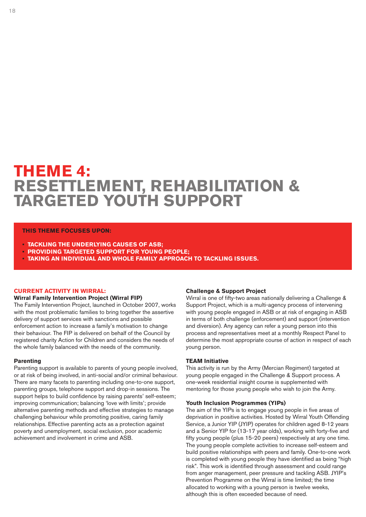## **THEME 4: RESETTLEMENT, REHABILITATION & TARGETED YOUTH SUPPORT**

#### **THIS THEME FOCUSES UPON:**

- **• TACKLING THE UNDERLYING CAUSES OF ASB;**
- **• PROVIDING TARGETED SUPPORT FOR YOUNG PEOPLE;**
- **• TAKING AN INDIVIDUAL AND WHOLE FAMILY APPROACH TO TACKLING ISSUES.**

#### **CURRENT ACTIVITY IN WIRRAL:**

**Wirral Family Intervention Project (Wirral FIP)**

The Family Intervention Project, launched in October 2007, works with the most problematic families to bring together the assertive delivery of support services with sanctions and possible enforcement action to increase a family's motivation to change their behaviour. The FIP is delivered on behalf of the Council by registered charity Action for Children and considers the needs of the whole family balanced with the needs of the community.

#### **Parenting**

Parenting support is available to parents of young people involved, or at risk of being involved, in anti-social and/or criminal behaviour. There are many facets to parenting including one-to-one support, parenting groups, telephone support and drop-in sessions. The support helps to build confidence by raising parents' self-esteem; improving communication; balancing 'love with limits'; provide alternative parenting methods and effective strategies to manage challenging behaviour while promoting positive, caring family relationships. Effective parenting acts as a protection against poverty and unemployment, social exclusion, poor academic achievement and involvement in crime and ASB.

#### **Challenge & Support Project**

Wirral is one of fifty-two areas nationally delivering a Challenge & Support Project, which is a multi-agency process of intervening with young people engaged in ASB or at risk of engaging in ASB in terms of both challenge (enforcement) and support (intervention and diversion). Any agency can refer a young person into this process and representatives meet at a monthly Respect Panel to determine the most appropriate course of action in respect of each young person.

#### **TEAM Initiative**

This activity is run by the Army (Mercian Regiment) targeted at young people engaged in the Challenge & Support process. A one-week residential insight course is supplemented with mentoring for those young people who wish to join the Army.

#### **Youth Inclusion Programmes (YIPs)**

The aim of the YIPs is to engage young people in five areas of deprivation in positive activities. Hosted by Wirral Youth Offending Service, a Junior YIP (JYIP) operates for children aged 8-12 years and a Senior YIP for (13-17 year olds), working with forty-five and fifty young people (plus 15-20 peers) respectively at any one time. The young people complete activities to increase self-esteem and build positive relationships with peers and family. One-to-one work is completed with young people they have identified as being "high risk". This work is identified through assessment and could range from anger management, peer pressure and tackling ASB. JYIP's Prevention Programme on the Wirral is time limited; the time allocated to working with a young person is twelve weeks, although this is often exceeded because of need.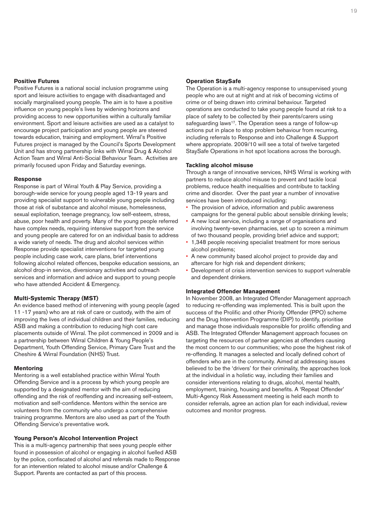#### **Positive Futures**

Positive Futures is a national social inclusion programme using sport and leisure activities to engage with disadvantaged and socially marginalised young people. The aim is to have a positive influence on young people's lives by widening horizons and providing access to new opportunities within a culturally familiar environment. Sport and leisure activities are used as a catalyst to encourage project participation and young people are steered towards education, training and employment. Wirral's Positive Futures project is managed by the Council's Sports Development Unit and has strong partnership links with Wirral Drug & Alcohol Action Team and Wirral Anti-Social Behaviour Team. Activities are primarily focused upon Friday and Saturday evenings.

#### **Response**

Response is part of Wirral Youth & Play Service, providing a borough-wide service for young people aged 13-19 years and providing specialist support to vulnerable young people including those at risk of substance and alcohol misuse, homelessness, sexual exploitation, teenage pregnancy, low self-esteem, stress, abuse, poor health and poverty. Many of the young people referred have complex needs, requiring intensive support from the service and young people are catered for on an individual basis to address a wide variety of needs. The drug and alcohol services within Response provide specialist interventions for targeted young people including case work, care plans, brief interventions following alcohol related offences, bespoke education sessions, an alcohol drop-in service, diversionary activities and outreach services and information and advice and support to young people who have attended Accident & Emergency.

## **Multi-Systemic Therapy (MST)**

An evidence based method of intervening with young people (aged 11 -17 years) who are at risk of care or custody, with the aim of improving the lives of individual children and their families, reducing ASB and making a contribution to reducing high cost care placements outside of Wirral. The pilot commenced in 2009 and is a partnership between Wirral Children & Young People's Department, Youth Offending Service, Primary Care Trust and the Cheshire & Wirral Foundation (NHS) Trust.

#### **Mentoring**

Mentoring is a well established practice within Wirral Youth Offending Service and is a process by which young people are supported by a designated mentor with the aim of reducing offending and the risk of reoffending and increasing self-esteem, motivation and self-confidence. Mentors within the service are volunteers from the community who undergo a comprehensive training programme. Mentors are also used as part of the Youth Offending Service's preventative work.

#### **Young Person's Alcohol Intervention Project**

This is a multi-agency partnership that sees young people either found in possession of alcohol or engaging in alcohol fuelled ASB by the police, confiscated of alcohol and referrals made to Response for an intervention related to alcohol misuse and/or Challenge & Support. Parents are contacted as part of this process.

#### **Operation StaySafe**

The Operation is a multi-agency response to unsupervised young people who are out at night and at risk of becoming victims of crime or of being drawn into criminal behaviour. Targeted operations are conducted to take young people found at risk to a place of safety to be collected by their parents/carers using safeguarding laws<sup>17</sup>. The Operation sees a range of follow-up actions put in place to stop problem behaviour from recurring, including referrals to Response and into Challenge & Support where appropriate. 2009/10 will see a total of twelve targeted StaySafe Operations in hot spot locations across the borough.

#### **Tackling alcohol misuse**

Through a range of innovative services, NHS Wirral is working with partners to reduce alcohol misuse to prevent and tackle local problems, reduce health inequalities and contribute to tackling crime and disorder. Over the past year a number of innovative services have been introduced including:

- The provision of advice, information and public awareness campaigns for the general public about sensible drinking levels;
- A new local service, including a range of organisations and involving twenty-seven pharmacies, set up to screen a minimum of two thousand people, providing brief advice and support;
- 1,348 people receiving specialist treatment for more serious alcohol problems;
- A new community based alcohol project to provide day and aftercare for high risk and dependent drinkers;
- Development of crisis intervention services to support vulnerable and dependent drinkers.

#### **Integrated Offender Management**

In November 2008, an Integrated Offender Management approach to reducing re-offending was implemented. This is built upon the success of the Prolific and other Priority Offender (PPO) scheme and the Drug Intervention Programme (DIP) to identify, prioritise and manage those individuals responsible for prolific offending and ASB. The Integrated Offender Management approach focuses on targeting the resources of partner agencies at offenders causing the most concern to our communities; who pose the highest risk of re-offending. It manages a selected and locally defined cohort of offenders who are in the community. Aimed at addressing issues believed to be the 'drivers' for their criminality, the approaches look at the individual in a holistic way, including their families and consider interventions relating to drugs, alcohol, mental health, employment, training, housing and benefits. A 'Repeat Offender' Multi-Agency Risk Assessment meeting is held each month to consider referrals, agree an action plan for each individual, review outcomes and monitor progress.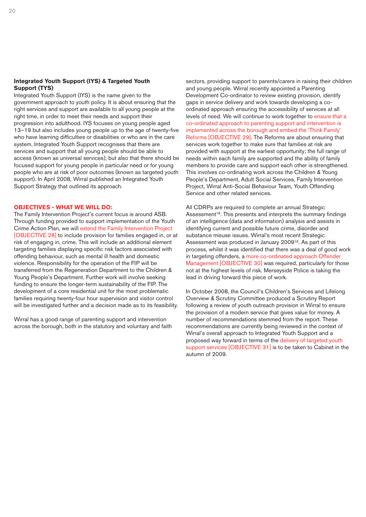## **Integrated Youth Support (IYS) & Targeted Youth Support (TYS)**

Integrated Youth Support (IYS) is the name given to the government approach to youth policy. It is about ensuring that the right services and support are available to all young people at the right time, in order to meet their needs and support their progression into adulthood. IYS focuses on young people aged 13–19 but also includes young people up to the age of twenty-five who have learning difficulties or disabilities or who are in the care system. Integrated Youth Support recognises that there are services and support that all young people should be able to access (known as universal services), but also that there should be focused support for young people in particular need or for young people who are at risk of poor outcomes (known as targeted youth support). In April 2008, Wirral published an Integrated Youth Support Strategy that outlined its approach.

## **OBJECTIVES - WHAT WE WILL DO:**

The Family Intervention Project's current focus is around ASB. Through funding provided to support implementation of the Youth Crime Action Plan, we will extend the Family Intervention Project [OBJECTIVE 28] to include provision for families engaged in, or at risk of engaging in, crime. This will include an additional element targeting families displaying specific risk factors associated with offending behaviour, such as mental ill health and domestic violence. Responsibility for the operation of the FIP will be transferred from the Regeneration Department to the Children & Young People's Department. Further work will involve seeking funding to ensure the longer-term sustainability of the FIP. The development of a core residential unit for the most problematic families requiring twenty-four hour supervision and visitor control will be investigated further and a decision made as to its feasibility.

Wirral has a good range of parenting support and intervention across the borough, both in the statutory and voluntary and faith sectors, providing support to parents/carers in raising their children and young people. Wirral recently appointed a Parenting Development Co-ordinator to review existing provision, identify gaps in service delivery and work towards developing a coordinated approach ensuring the accessibility of services at all levels of need. We will continue to work together to ensure that a co-ordinated approach to parenting support and intervention is implemented across the borough and embed the 'Think Family' Reforms [OBJECTIVE 29]. The Reforms are about ensuring that services work together to make sure that families at risk are provided with support at the earliest opportunity; the full range of needs within each family are supported and the ability of family members to provide care and support each other is strengthened. This involves co-ordinating work across the Children & Young People's Department, Adult Social Services, Family Intervention Project, Wirral Anti-Social Behaviour Team, Youth Offending Service and other related services.

All CDRPs are required to complete an annual Strategic Assessment<sup>18</sup>. This presents and interprets the summary findings of an intelligence (data and information) analysis and assists in identifying current and possible future crime, disorder and substance misuse issues. Wirral's most recent Strategic Assessment was produced in January 200919. As part of this process, whilst it was identified that there was a deal of good work in targeting offenders, a more co-ordinated approach Offender Management [OBJECTIVE 30] was required, particularly for those not at the highest levels of risk. Merseyside Police is taking the lead in driving forward this piece of work.

In October 2008, the Council's Children's Services and Lifelong Overview & Scrutiny Committee produced a Scrutiny Report following a review of youth outreach provision in Wirral to ensure the provision of a modern service that gives value for money. A number of recommendations stemmed from the report. These recommendations are currently being reviewed in the context of Wirral's overall approach to Integrated Youth Support and a proposed way forward in terms of the delivery of targeted youth support services [OBJECTIVE 31] is to be taken to Cabinet in the autumn of 2009.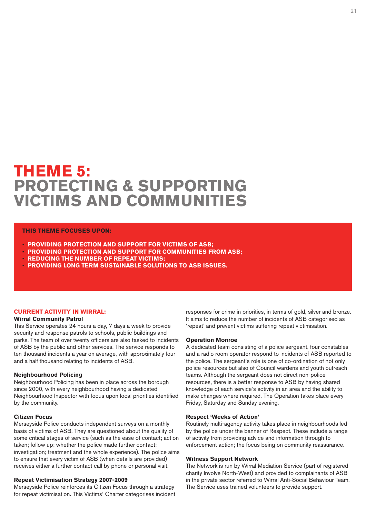## **THEME 5: PROTECTING & SUPPORTING VICTIMS AND COMMUNITIES**

#### **THIS THEME FOCUSES UPON:**

- **• PROVIDING PROTECTION AND SUPPORT FOR VICTIMS OF ASB;**
- **• PROVIDING PROTECTION AND SUPPORT FOR COMMUNITIES FROM ASB;**
- **• REDUCING THE NUMBER OF REPEAT VICTIMS;**
- **• PROVIDING LONG TERM SUSTAINABLE SOLUTIONS TO ASB ISSUES.**

#### **CURRENT ACTIVITY IN WIRRAL:**

## **Wirral Community Patrol**

This Service operates 24 hours a day, 7 days a week to provide security and response patrols to schools, public buildings and parks. The team of over twenty officers are also tasked to incidents of ASB by the public and other services. The service responds to ten thousand incidents a year on average, with approximately four and a half thousand relating to incidents of ASB.

#### **Neighbourhood Policing**

Neighbourhood Policing has been in place across the borough since 2000, with every neighbourhood having a dedicated Neighbourhood Inspector with focus upon local priorities identified by the community.

#### **Citizen Focus**

Merseyside Police conducts independent surveys on a monthly basis of victims of ASB. They are questioned about the quality of some critical stages of service (such as the ease of contact; action taken; follow up; whether the police made further contact; investigation; treatment and the whole experience). The police aims to ensure that every victim of ASB (when details are provided) receives either a further contact call by phone or personal visit.

### **Repeat Victimisation Strategy 2007-2009**

Merseyside Police reinforces its Citizen Focus through a strategy for repeat victimisation. This Victims' Charter categorises incident responses for crime in priorities, in terms of gold, silver and bronze. It aims to reduce the number of incidents of ASB categorised as 'repeat' and prevent victims suffering repeat victimisation.

#### **Operation Monroe**

A dedicated team consisting of a police sergeant, four constables and a radio room operator respond to incidents of ASB reported to the police. The sergeant's role is one of co-ordination of not only police resources but also of Council wardens and youth outreach teams. Although the sergeant does not direct non-police resources, there is a better response to ASB by having shared knowledge of each service's activity in an area and the ability to make changes where required. The Operation takes place every Friday, Saturday and Sunday evening.

#### **Respect 'Weeks of Action'**

Routinely multi-agency activity takes place in neighbourhoods led by the police under the banner of Respect. These include a range of activity from providing advice and information through to enforcement action; the focus being on community reassurance.

#### **Witness Support Network**

The Network is run by Wirral Mediation Service (part of registered charity Involve North-West) and provided to complainants of ASB in the private sector referred to Wirral Anti-Social Behaviour Team. The Service uses trained volunteers to provide support.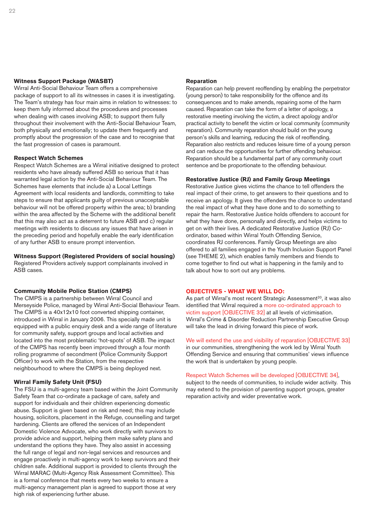## **Witness Support Package (WASBT)**

Wirral Anti-Social Behaviour Team offers a comprehensive package of support to all its witnesses in cases it is investigating. The Team's strategy has four main aims in relation to witnesses: to keep them fully informed about the procedures and processes when dealing with cases involving ASB; to support them fully throughout their involvement with the Anti-Social Behaviour Team, both physically and emotionally; to update them frequently and promptly about the progression of the case and to recognise that the fast progression of cases is paramount.

### **Respect Watch Schemes**

Respect Watch Schemes are a Wirral initiative designed to protect residents who have already suffered ASB so serious that it has warranted legal action by the Anti-Social Behaviour Team. The Schemes have elements that include a) a Local Lettings Agreement with local residents and landlords, committing to take steps to ensure that applicants guilty of previous unacceptable behaviour will not be offered property within the area; b) branding within the area affected by the Scheme with the additional benefit that this may also act as a deterrent to future ASB and c) regular meetings with residents to discuss any issues that have arisen in the preceding period and hopefully enable the early identification of any further ASB to ensure prompt intervention.

## **Witness Support (Registered Providers of social housing)**

Registered Providers actively support complainants involved in ASB cases.

#### **Community Mobile Police Station (CMPS)**

The CMPS is a partnership between Wirral Council and Merseyside Police, managed by Wirral Anti-Social Behaviour Team. The CMPS is a 40x12x10 foot converted shipping container, introduced in Wirral in January 2006. This specially made unit is equipped with a public enquiry desk and a wide range of literature for community safety, support groups and local activities and located into the most problematic 'hot-spots' of ASB. The impact of the CMPS has recently been improved through a four month rolling programme of secondment (Police Community Support Officer) to work with the Station, from the respective neighbourhood to where the CMPS is being deployed next.

#### **Wirral Family Safety Unit (FSU)**

The FSU is a multi-agency team based within the Joint Community Safety Team that co-ordinate a package of care, safety and support for individuals and their children experiencing domestic abuse. Support is given based on risk and need; this may include housing, solicitors, placement in the Refuge, counselling and target hardening. Clients are offered the services of an Independent Domestic Violence Advocate, who work directly with survivors to provide advice and support, helping them make safety plans and understand the options they have. They also assist in accessing the full range of legal and non-legal services and resources and engage proactively in multi-agency work to keep survivors and their children safe. Additional support is provided to clients through the Wirral MARAC (Multi-Agency Risk Assessment Committee). This is a formal conference that meets every two weeks to ensure a multi-agency management plan is agreed to support those at very high risk of experiencing further abuse.

#### **Reparation**

Reparation can help prevent reoffending by enabling the perpetrator (young person) to take responsibility for the offence and its consequences and to make amends, repairing some of the harm caused. Reparation can take the form of a letter of apology, a restorative meeting involving the victim, a direct apology and/or practical activity to benefit the victim or local community (community reparation). Community reparation should build on the young person's skills and learning, reducing the risk of reoffending. Reparation also restricts and reduces leisure time of a young person and can reduce the opportunities for further offending behaviour. Reparation should be a fundamental part of any community court sentence and be proportionate to the offending behaviour.

#### **Restorative Justice (RJ) and Family Group Meetings**

Restorative Justice gives victims the chance to tell offenders the real impact of their crime, to get answers to their questions and to receive an apology. It gives the offenders the chance to understand the real impact of what they have done and to do something to repair the harm. Restorative Justice holds offenders to account for what they have done, personally and directly, and helps victims to get on with their lives. A dedicated Restorative Justice (RJ) Coordinator, based within Wirral Youth Offending Service, coordinates RJ conferences. Family Group Meetings are also offered to all families engaged in the Youth Inclusion Support Panel (see THEME 2), which enables family members and friends to come together to find out what is happening in the family and to talk about how to sort out any problems.

#### **OBJECTIVES - WHAT WE WILL DO:**

As part of Wirral's most recent Strategic Assessment<sup>20</sup>, it was also identified that Wirral required a more co-ordinated approach to victim support [OBJECTIVE 32] at all levels of victimisation. Wirral's Crime & Disorder Reduction Partnership Executive Group will take the lead in driving forward this piece of work.

We will extend the use and visibility of reparation [OBJECTIVE 33] in our communities, strengthening the work led by Wirral Youth Offending Service and ensuring that communities' views influence the work that is undertaken by young people.

#### Respect Watch Schemes will be developed [OBJECTIVE 34],

subject to the needs of communities, to include wider activity. This may extend to the provision of parenting support groups, greater reparation activity and wider preventative work.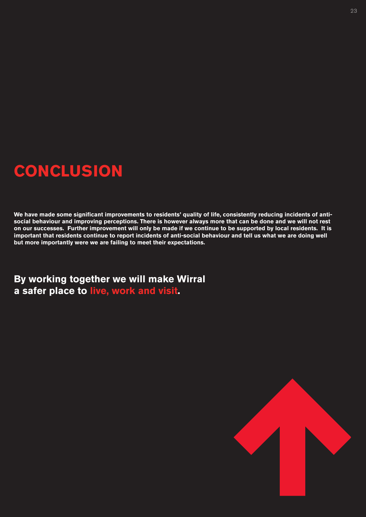## **CONCLUSION**

We have made some significant improvements to residents' quality of life, consistently reducing incidents of antisocial behaviour and improving perceptions. There is however always more that can be done and we will not rest on our successes. Further improvement will only be made if we continue to be supported by local residents. It is important that residents continue to report incidents of anti-social behaviour and tell us what we are doing well **but more importantly were we are failing to meet their expectations.**

**By working together we will make Wirral a safer place to live, work and visit.**

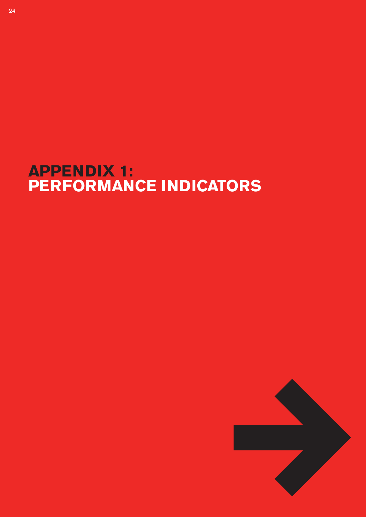## **APPENDIX 1: PERFORMANCE INDICATORS**

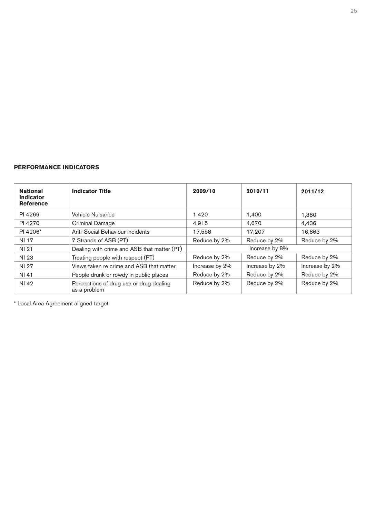## **PERFORMANCE INDICATORS**

| <b>National</b><br><b>Indicator</b><br><b>Reference</b> | <b>Indicator Title</b>                                  | 2009/10        | 2010/11        | 2011/12        |
|---------------------------------------------------------|---------------------------------------------------------|----------------|----------------|----------------|
| PI 4269                                                 | Vehicle Nuisance                                        | 1,420          | 1,400          | 1,380          |
| PI 4270                                                 | Criminal Damage                                         | 4.915          | 4.670          | 4,436          |
| PI 4206*                                                | Anti-Social Behaviour incidents                         | 17.558         | 17.207         | 16,863         |
| <b>NI17</b>                                             | 7 Strands of ASB (PT)                                   | Reduce by 2%   | Reduce by 2%   | Reduce by 2%   |
| NI 21                                                   | Dealing with crime and ASB that matter (PT)             |                | Increase by 8% |                |
| NI 23                                                   | Treating people with respect (PT)                       | Reduce by 2%   | Reduce by 2%   | Reduce by 2%   |
| NI 27                                                   | Views taken re crime and ASB that matter                | Increase by 2% | Increase by 2% | Increase by 2% |
| NI 41                                                   | People drunk or rowdy in public places                  | Reduce by 2%   | Reduce by 2%   | Reduce by 2%   |
| NI 42                                                   | Perceptions of drug use or drug dealing<br>as a problem | Reduce by 2%   | Reduce by 2%   | Reduce by 2%   |

\* Local Area Agreement aligned target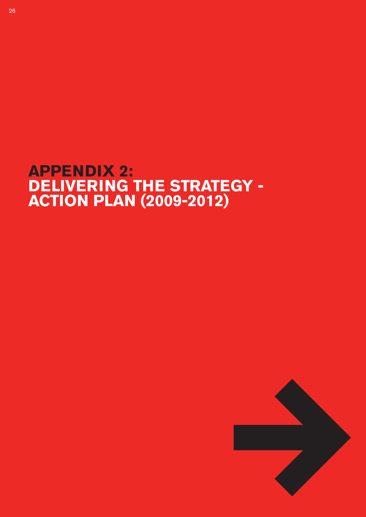# **APPENDIX 2: DELIVERING THE STRATEGY - ACTION PLAN (2009-2012)**

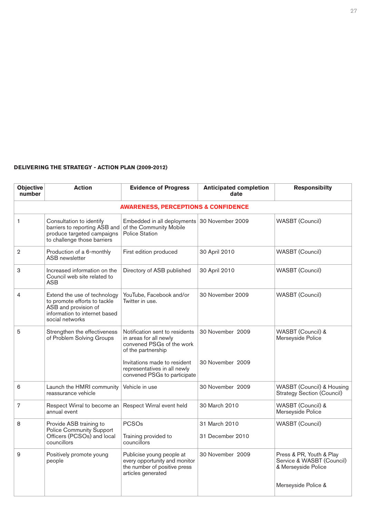## **DELIVERING THE STRATEGY - ACTION PLAN (2009-2012)**

| <b>Objective</b><br>number | <b>Action</b>                                                                                                                            | <b>Evidence of Progress</b>                                                                                                                                                                                 | <b>Anticipated completion</b><br>date | <b>Responsibilty</b>                                                                                |
|----------------------------|------------------------------------------------------------------------------------------------------------------------------------------|-------------------------------------------------------------------------------------------------------------------------------------------------------------------------------------------------------------|---------------------------------------|-----------------------------------------------------------------------------------------------------|
|                            |                                                                                                                                          | <b>AWARENESS, PERCEPTIONS &amp; CONFIDENCE</b>                                                                                                                                                              |                                       |                                                                                                     |
| 1                          | Consultation to identify<br>barriers to reporting ASB and<br>produce targeted campaigns<br>to challenge those barriers                   | Embedded in all deployments 30 November 2009<br>of the Community Mobile<br><b>Police Station</b>                                                                                                            |                                       | <b>WASBT</b> (Council)                                                                              |
| 2                          | Production of a 6-monthly<br><b>ASB</b> newsletter                                                                                       | First edition produced                                                                                                                                                                                      | 30 April 2010                         | <b>WASBT</b> (Council)                                                                              |
| 3                          | Increased information on the<br>Council web site related to<br>ASB                                                                       | Directory of ASB published                                                                                                                                                                                  | 30 April 2010                         | <b>WASBT</b> (Council)                                                                              |
| 4                          | Extend the use of technology<br>to promote efforts to tackle<br>ASB and provision of<br>information to internet based<br>social networks | YouTube, Facebook and/or<br>Twitter in use.                                                                                                                                                                 | 30 November 2009                      | <b>WASBT</b> (Council)                                                                              |
| 5                          | Strengthen the effectiveness<br>of Problem Solving Groups                                                                                | Notification sent to residents<br>in areas for all newly<br>convened PSGs of the work<br>of the partnership<br>Invitations made to resident<br>representatives in all newly<br>convened PSGs to participate | 30 November 2009<br>30 November 2009  | WASBT (Council) &<br>Merseyside Police                                                              |
| 6                          | Launch the HMRI community<br>reassurance vehicle                                                                                         | Vehicle in use                                                                                                                                                                                              | 30 November 2009                      | WASBT (Council) & Housing<br><b>Strategy Section (Council)</b>                                      |
| 7                          | Respect Wirral to become an<br>annual event                                                                                              | Respect Wirral event held                                                                                                                                                                                   | 30 March 2010                         | WASBT (Council) &<br>Merseyside Police                                                              |
| 8                          | Provide ASB training to<br><b>Police Community Support</b><br>Officers (PCSOs) and local<br>councillors                                  | <b>PCSOs</b><br>Training provided to<br>councillors                                                                                                                                                         | 31 March 2010<br>31 December 2010     | <b>WASBT</b> (Council)                                                                              |
| 9                          | Positively promote young<br>people                                                                                                       | Publicise young people at<br>every opportunity and monitor<br>the number of positive press<br>articles generated                                                                                            | 30 November 2009                      | Press & PR, Youth & Play<br>Service & WASBT (Council)<br>& Merseyside Police<br>Merseyside Police & |
|                            |                                                                                                                                          |                                                                                                                                                                                                             |                                       |                                                                                                     |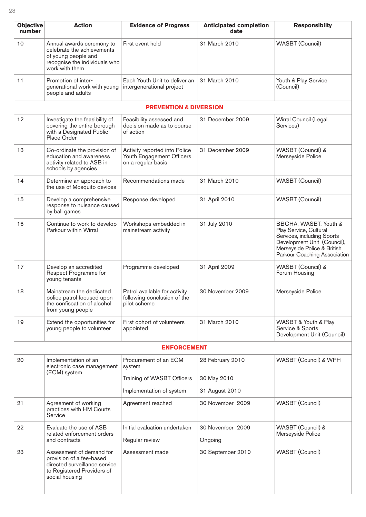| <b>Objective</b><br>number | <b>Action</b>                                                                                                                         | <b>Evidence of Progress</b>                                                      | <b>Anticipated completion</b><br>date | <b>Responsibilty</b>                                                                                                                                                        |  |  |  |  |  |
|----------------------------|---------------------------------------------------------------------------------------------------------------------------------------|----------------------------------------------------------------------------------|---------------------------------------|-----------------------------------------------------------------------------------------------------------------------------------------------------------------------------|--|--|--|--|--|
| 10                         | Annual awards ceremony to<br>celebrate the achievements<br>of young people and<br>recognise the individuals who<br>work with them     | First event held                                                                 | 31 March 2010                         | <b>WASBT</b> (Council)                                                                                                                                                      |  |  |  |  |  |
| 11                         | Promotion of inter-<br>generational work with young<br>people and adults                                                              | Each Youth Unit to deliver an<br>intergenerational project                       | 31 March 2010                         | Youth & Play Service<br>(Council)                                                                                                                                           |  |  |  |  |  |
|                            |                                                                                                                                       | <b>PREVENTION &amp; DIVERSION</b>                                                |                                       |                                                                                                                                                                             |  |  |  |  |  |
| 12                         | Investigate the feasibility of<br>covering the entire borough<br>with a Designated Public<br>Place Order                              | Feasibility assessed and<br>decision made as to course<br>of action              | 31 December 2009                      | Wirral Council (Legal<br>Services)                                                                                                                                          |  |  |  |  |  |
| 13                         | Co-ordinate the provision of<br>education and awareness<br>activity related to ASB in<br>schools by agencies                          | Activity reported into Police<br>Youth Engagement Officers<br>on a regular basis | 31 December 2009                      | WASBT (Council) &<br>Merseyside Police                                                                                                                                      |  |  |  |  |  |
| 14                         | Determine an approach to<br>the use of Mosquito devices                                                                               | Recommendations made                                                             | 31 March 2010                         | <b>WASBT</b> (Council)                                                                                                                                                      |  |  |  |  |  |
| 15                         | Develop a comprehensive<br>response to nuisance caused<br>by ball games                                                               | Response developed                                                               | 31 April 2010                         | <b>WASBT</b> (Council)                                                                                                                                                      |  |  |  |  |  |
| 16                         | Continue to work to develop<br>Parkour within Wirral                                                                                  | Workshops embedded in<br>mainstream activity                                     | 31 July 2010                          | BBCHA, WASBT, Youth &<br>Play Service, Cultural<br>Services, including Sports<br>Development Unit (Council),<br>Merseyside Police & British<br>Parkour Coaching Association |  |  |  |  |  |
| 17                         | Develop an accredited<br>Respect Programme for<br>young tenants                                                                       | Programme developed                                                              | 31 April 2009                         | WASBT (Council) &<br>Forum Housing                                                                                                                                          |  |  |  |  |  |
| 18                         | Mainstream the dedicated<br>police patrol focused upon<br>the confiscation of alcohol<br>from young people                            | Patrol available for activity<br>following conclusion of the<br>pilot scheme     | 30 November 2009                      | Merseyside Police                                                                                                                                                           |  |  |  |  |  |
| 19                         | Extend the opportunities for<br>young people to volunteer                                                                             | First cohort of volunteers<br>appointed                                          | 31 March 2010                         | WASBT & Youth & Play<br>Service & Sports<br>Development Unit (Council)                                                                                                      |  |  |  |  |  |
|                            |                                                                                                                                       | <b>ENFORCEMENT</b>                                                               |                                       |                                                                                                                                                                             |  |  |  |  |  |
| 20                         | Implementation of an<br>electronic case management<br>(ECM) system                                                                    | Procurement of an ECM<br>system                                                  | 28 February 2010<br>30 May 2010       | WASBT (Council) & WPH                                                                                                                                                       |  |  |  |  |  |
|                            |                                                                                                                                       | Training of WASBT Officers<br>Implementation of system                           | 31 August 2010                        |                                                                                                                                                                             |  |  |  |  |  |
| 21                         | Agreement of working<br>practices with HM Courts<br>Service                                                                           | Agreement reached                                                                | 30 November 2009                      | <b>WASBT</b> (Council)                                                                                                                                                      |  |  |  |  |  |
| 22                         | Evaluate the use of ASB<br>related enforcement orders<br>and contracts                                                                | Initial evaluation undertaken<br>Regular review                                  | 30 November 2009<br>Ongoing           | WASBT (Council) &<br>Merseyside Police                                                                                                                                      |  |  |  |  |  |
| 23                         | Assessment of demand for<br>provision of a fee-based<br>directed surveillance service<br>to Registered Providers of<br>social housing | Assessment made                                                                  | 30 September 2010                     | <b>WASBT</b> (Council)                                                                                                                                                      |  |  |  |  |  |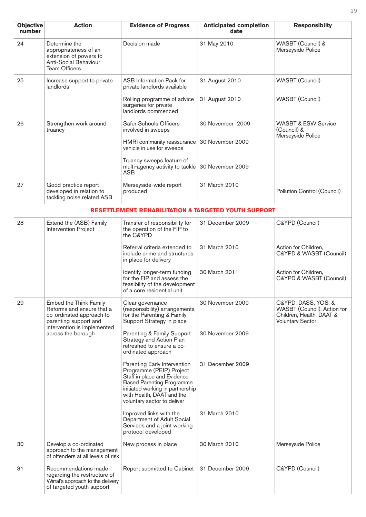| <b>Objective</b><br>number | <b>Action</b>                                                                                                                                  | <b>Evidence of Progress</b>                                                                                                                                                                                                 | <b>Anticipated completion</b><br>date | <b>Responsibilty</b>                                                                                      |
|----------------------------|------------------------------------------------------------------------------------------------------------------------------------------------|-----------------------------------------------------------------------------------------------------------------------------------------------------------------------------------------------------------------------------|---------------------------------------|-----------------------------------------------------------------------------------------------------------|
| 24                         | Determine the<br>appropriateness of an<br>extension of powers to<br><b>Anti-Social Behaviour</b><br><b>Team Officers</b>                       | Decision made                                                                                                                                                                                                               | 31 May 2010                           | WASBT (Council) &<br>Merseyside Police                                                                    |
| 25                         | Increase support to private<br>landlords                                                                                                       | ASB Information Pack for<br>private landlords available                                                                                                                                                                     | 31 August 2010                        | <b>WASBT</b> (Council)                                                                                    |
|                            |                                                                                                                                                | Rolling programme of advice<br>surgeries for private<br>landlords commenced                                                                                                                                                 | 31 August 2010                        | <b>WASBT</b> (Council)                                                                                    |
| 26                         | Strengthen work around<br>truancy                                                                                                              | Safer Schools Officers<br>involved in sweeps                                                                                                                                                                                | 30 November 2009                      | <b>WASBT &amp; ESW Service</b><br>(Council) &<br>Merseyside Police                                        |
|                            |                                                                                                                                                | HMRI community reassurance<br>vehicle in use for sweeps                                                                                                                                                                     | 30 November 2009                      |                                                                                                           |
|                            |                                                                                                                                                | Truancy sweeps feature of<br>multi-agency activity to tackle<br><b>ASB</b>                                                                                                                                                  | 30 November 2009                      |                                                                                                           |
| 27                         | Good practice report<br>developed in relation to<br>tackling noise related ASB                                                                 | Merseyside-wide report<br>produced                                                                                                                                                                                          | 31 March 2010                         | Pollution Control (Council)                                                                               |
|                            |                                                                                                                                                | <b>RESETTLEMENT, REHABILITATION &amp; TARGETED YOUTH SUPPORT</b>                                                                                                                                                            |                                       |                                                                                                           |
| 28                         | Extend the (ASB) Family<br>Intervention Project                                                                                                | Transfer of responsibility for<br>the operation of the FIP to<br>the C&YPD                                                                                                                                                  | 31 December 2009                      | C&YPD (Council)                                                                                           |
|                            |                                                                                                                                                | Referral criteria extended to<br>include crime and structures<br>in place for delivery                                                                                                                                      | 31 March 2010                         | Action for Children,<br>C&YPD & WASBT (Council)                                                           |
|                            |                                                                                                                                                | Identify longer-term funding<br>for the FIP and assess the<br>feasibility of the development<br>of a core residential unit                                                                                                  | 30 March 2011                         | Action for Children,<br>C&YPD & WASBT (Council)                                                           |
| 29                         | <b>Embed the Think Family</b><br>Reforms and ensure that a<br>co-ordinated approach to<br>parenting support and<br>intervention is implemented | Clear governance<br>(responsibility) arrangements<br>for the Parenting & Family<br>Support Strategy in place                                                                                                                | 30 November 2009                      | C&YPD, DASS, YOS, &<br>WASBT (Council), Action for<br>Children, Health, DAAT &<br><b>Voluntary Sector</b> |
|                            | across the borough                                                                                                                             | Parenting & Family Support<br>Strategy and Action Plan<br>refreshed to ensure a co-<br>ordinated approach                                                                                                                   | 30 November 2009                      |                                                                                                           |
|                            |                                                                                                                                                | Parenting Early Intervention<br>Programme (PEIP) Project<br>Staff in place and Evidence<br><b>Based Parenting Programme</b><br>initiated working in partnership<br>with Health, DAAT and the<br>voluntary sector to deliver | 31 December 2009                      |                                                                                                           |
|                            |                                                                                                                                                | Improved links with the<br>Department of Adult Social<br>Services and a joint working<br>protocol developed                                                                                                                 | 31 March 2010                         |                                                                                                           |
| 30                         | Develop a co-ordinated<br>approach to the management<br>of offenders at all levels of risk                                                     | New process in place                                                                                                                                                                                                        | 30 March 2010                         | Merseyside Police                                                                                         |
| 31                         | Recommendations made<br>regarding the restructure of<br>Wirral's approach to the delivery<br>of targeted youth support                         | Report submitted to Cabinet                                                                                                                                                                                                 | 31 December 2009                      | C&YPD (Council)                                                                                           |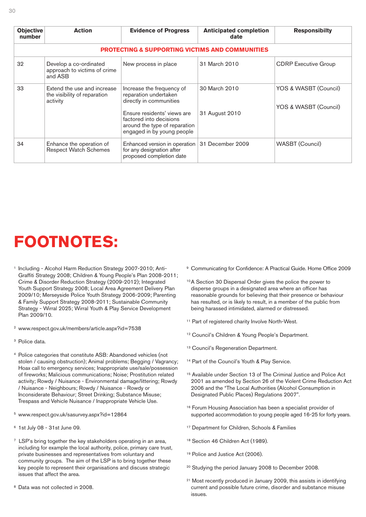| <b>Objective</b><br>number | <b>Action</b>                                                           | <b>Evidence of Progress</b>                                                                                           | <b>Anticipated completion</b><br>date | <b>Responsibilty</b>                           |  |  |  |  |  |  |  |  |  |  |  |
|----------------------------|-------------------------------------------------------------------------|-----------------------------------------------------------------------------------------------------------------------|---------------------------------------|------------------------------------------------|--|--|--|--|--|--|--|--|--|--|--|
|                            | <b>PROTECTING &amp; SUPPORTING VICTIMS AND COMMUNITIES</b>              |                                                                                                                       |                                       |                                                |  |  |  |  |  |  |  |  |  |  |  |
| 32                         | Develop a co-ordinated<br>approach to victims of crime<br>and ASB       | New process in place                                                                                                  | 31 March 2010                         | <b>CDRP</b> Executive Group                    |  |  |  |  |  |  |  |  |  |  |  |
| 33                         | Extend the use and increase<br>the visibility of reparation<br>activity | Increase the frequency of<br>reparation undertaken<br>directly in communities                                         | 30 March 2010                         | YOS & WASBT (Council)<br>YOS & WASBT (Council) |  |  |  |  |  |  |  |  |  |  |  |
|                            |                                                                         | Ensure residents' views are<br>factored into decisions<br>around the type of reparation<br>engaged in by young people | 31 August 2010                        |                                                |  |  |  |  |  |  |  |  |  |  |  |
| 34                         | Enhance the operation of<br><b>Respect Watch Schemes</b>                | Enhanced version in operation<br>for any designation after<br>proposed completion date                                | 31 December 2009                      | WASBT (Council)                                |  |  |  |  |  |  |  |  |  |  |  |

## **FOOTNOTES:**

- <sup>1</sup> Including Alcohol Harm Reduction Strategy 2007-2010; Anti-Graffiti Strategy 2008; Children & Young People's Plan 2008-2011; Crime & Disorder Reduction Strategy (2009-2012); Integrated Youth Support Strategy 2008; Local Area Agreement Delivery Plan 2009/10; Merseyside Police Youth Strategy 2006-2009; Parenting & Family Support Strategy 2008-2011; Sustainable Community Strategy - Wirral 2025; Wirral Youth & Play Service Development Plan 2009/10.
- <sup>2</sup> www.respect.gov.uk/members/article.aspx?id=7538
- <sup>3</sup> Police data.
- <sup>4</sup> Police categories that constitute ASB: Abandoned vehicles (not stolen / causing obstruction); Animal problems; Begging / Vagrancy; Hoax call to emergency services; Inappropriate use/sale/possession of fireworks; Malicious communications; Noise; Prostitution related activity; Rowdy / Nuisance - Environmental damage/littering; Rowdy / Nuisance - Neighbours; Rowdy / Nuisance - Rowdy or Inconsiderate Behaviour; Street Drinking; Substance Misuse; Trespass and Vehicle Nuisance / Inappropriate Vehicle Use.
- <sup>5</sup> www.respect.gov.uk/sasurvey.aspx?id=12864
- <sup>6</sup> 1st July 08 31st June 09.
- <sup>7</sup> LSP's bring together the key stakeholders operating in an area, including for example the local authority, police, primary care trust, private businesses and representatives from voluntary and community groups. The aim of the LSP is to bring together these key people to represent their organisations and discuss strategic issues that affect the area.
- <sup>8</sup> Data was not collected in 2008.
- <sup>9</sup> Communicating for Confidence: A Practical Guide. Home Office 2009
- 10A Section 30 Dispersal Order gives the police the power to disperse groups in a designated area where an officer has reasonable grounds for believing that their presence or behaviour has resulted, or is likely to result, in a member of the public from being harassed intimidated, alarmed or distressed.
- <sup>11</sup> Part of registered charity Involve North-West.
- <sup>12</sup> Council's Children & Young People's Department.
- <sup>13</sup> Council's Regeneration Department.
- <sup>14</sup> Part of the Council's Youth & Play Service.
- <sup>15</sup> Available under Section 13 of The Criminal Justice and Police Act 2001 as amended by Section 26 of the Violent Crime Reduction Act 2006 and the "The Local Authorities (Alcohol Consumption in Designated Public Places) Regulations 2007".
- <sup>16</sup> Forum Housing Association has been a specialist provider of supported accommodation to young people aged 16-25 for forty years.
- <sup>17</sup> Department for Children, Schools & Families
- <sup>18</sup> Section 46 Children Act (1989).
- <sup>19</sup> Police and Justice Act (2006).
- <sup>20</sup> Studying the period January 2008 to December 2008.
- <sup>21</sup> Most recently produced in January 2009, this assists in identifying current and possible future crime, disorder and substance misuse issues.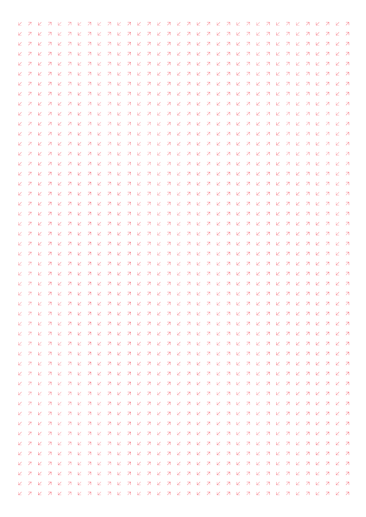|         | ヒス |  |  |  |  |  |  |  |  |  |  |  |  |  |  |                                        |  |
|---------|----|--|--|--|--|--|--|--|--|--|--|--|--|--|--|----------------------------------------|--|
|         |    |  |  |  |  |  |  |  |  |  |  |  |  |  |  |                                        |  |
| ヒス      |    |  |  |  |  |  |  |  |  |  |  |  |  |  |  | <u>илилилилилилилилилилилилилили</u>   |  |
|         |    |  |  |  |  |  |  |  |  |  |  |  |  |  |  |                                        |  |
| 27      |    |  |  |  |  |  |  |  |  |  |  |  |  |  |  |                                        |  |
|         |    |  |  |  |  |  |  |  |  |  |  |  |  |  |  |                                        |  |
|         |    |  |  |  |  |  |  |  |  |  |  |  |  |  |  |                                        |  |
| $K$ $Z$ |    |  |  |  |  |  |  |  |  |  |  |  |  |  |  |                                        |  |
|         |    |  |  |  |  |  |  |  |  |  |  |  |  |  |  |                                        |  |
|         | ヒス |  |  |  |  |  |  |  |  |  |  |  |  |  |  |                                        |  |
|         |    |  |  |  |  |  |  |  |  |  |  |  |  |  |  |                                        |  |
|         |    |  |  |  |  |  |  |  |  |  |  |  |  |  |  |                                        |  |
|         |    |  |  |  |  |  |  |  |  |  |  |  |  |  |  |                                        |  |
| ヒス      |    |  |  |  |  |  |  |  |  |  |  |  |  |  |  |                                        |  |
|         | ヒス |  |  |  |  |  |  |  |  |  |  |  |  |  |  |                                        |  |
|         | ヒス |  |  |  |  |  |  |  |  |  |  |  |  |  |  |                                        |  |
|         | ヒス |  |  |  |  |  |  |  |  |  |  |  |  |  |  |                                        |  |
| 27      |    |  |  |  |  |  |  |  |  |  |  |  |  |  |  | <u>илилилилини тилилилини тилилили</u> |  |
|         |    |  |  |  |  |  |  |  |  |  |  |  |  |  |  |                                        |  |
| ヒス      |    |  |  |  |  |  |  |  |  |  |  |  |  |  |  |                                        |  |
|         | ヒス |  |  |  |  |  |  |  |  |  |  |  |  |  |  | <u>илилилилини тилилилини тилилили</u> |  |
|         |    |  |  |  |  |  |  |  |  |  |  |  |  |  |  |                                        |  |
| ヒス      |    |  |  |  |  |  |  |  |  |  |  |  |  |  |  |                                        |  |
|         |    |  |  |  |  |  |  |  |  |  |  |  |  |  |  |                                        |  |
|         |    |  |  |  |  |  |  |  |  |  |  |  |  |  |  |                                        |  |
|         | ヒス |  |  |  |  |  |  |  |  |  |  |  |  |  |  |                                        |  |
|         |    |  |  |  |  |  |  |  |  |  |  |  |  |  |  |                                        |  |
|         |    |  |  |  |  |  |  |  |  |  |  |  |  |  |  |                                        |  |
|         | ヒス |  |  |  |  |  |  |  |  |  |  |  |  |  |  |                                        |  |
|         |    |  |  |  |  |  |  |  |  |  |  |  |  |  |  |                                        |  |
|         |    |  |  |  |  |  |  |  |  |  |  |  |  |  |  |                                        |  |
|         |    |  |  |  |  |  |  |  |  |  |  |  |  |  |  |                                        |  |
|         |    |  |  |  |  |  |  |  |  |  |  |  |  |  |  |                                        |  |
|         |    |  |  |  |  |  |  |  |  |  |  |  |  |  |  |                                        |  |
|         |    |  |  |  |  |  |  |  |  |  |  |  |  |  |  |                                        |  |
|         |    |  |  |  |  |  |  |  |  |  |  |  |  |  |  |                                        |  |
|         |    |  |  |  |  |  |  |  |  |  |  |  |  |  |  |                                        |  |
|         |    |  |  |  |  |  |  |  |  |  |  |  |  |  |  |                                        |  |
|         |    |  |  |  |  |  |  |  |  |  |  |  |  |  |  |                                        |  |
|         |    |  |  |  |  |  |  |  |  |  |  |  |  |  |  |                                        |  |
|         |    |  |  |  |  |  |  |  |  |  |  |  |  |  |  |                                        |  |
|         |    |  |  |  |  |  |  |  |  |  |  |  |  |  |  |                                        |  |
|         |    |  |  |  |  |  |  |  |  |  |  |  |  |  |  |                                        |  |
|         |    |  |  |  |  |  |  |  |  |  |  |  |  |  |  |                                        |  |
|         |    |  |  |  |  |  |  |  |  |  |  |  |  |  |  |                                        |  |
|         |    |  |  |  |  |  |  |  |  |  |  |  |  |  |  |                                        |  |
|         |    |  |  |  |  |  |  |  |  |  |  |  |  |  |  |                                        |  |
|         |    |  |  |  |  |  |  |  |  |  |  |  |  |  |  |                                        |  |
|         |    |  |  |  |  |  |  |  |  |  |  |  |  |  |  |                                        |  |
|         |    |  |  |  |  |  |  |  |  |  |  |  |  |  |  |                                        |  |
|         |    |  |  |  |  |  |  |  |  |  |  |  |  |  |  |                                        |  |
|         |    |  |  |  |  |  |  |  |  |  |  |  |  |  |  |                                        |  |